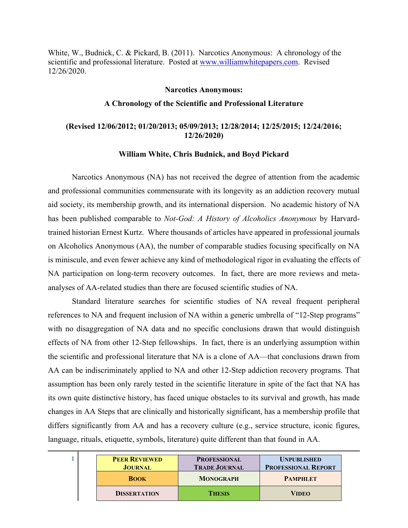White, W., Budnick, C. & Pickard, B. (2011). Narcotics Anonymous: A chronology of the scientific and professional literature. Posted at [www.williamwhitepapers.com.](http://www.williamwhitepapers.com/) Revised 12/26/2020.

#### **Narcotics Anonymous:**

#### **A Chronology of the Scientific and Professional Literature**

#### **(Revised 12/06/2012; 01/20/2013; 05/09/2013; 12/28/2014; 12/25/2015; 12/24/2016; 12/26/2020)**

#### **William White, Chris Budnick, and Boyd Pickard**

Narcotics Anonymous (NA) has not received the degree of attention from the academic and professional communities commensurate with its longevity as an addiction recovery mutual aid society, its membership growth, and its international dispersion. No academic history of NA has been published comparable to *Not-God: A History of Alcoholics Anonymous* by Harvardtrained historian Ernest Kurtz. Where thousands of articles have appeared in professional journals on Alcoholics Anonymous (AA), the number of comparable studies focusing specifically on NA is miniscule, and even fewer achieve any kind of methodological rigor in evaluating the effects of NA participation on long-term recovery outcomes. In fact, there are more reviews and metaanalyses of AA-related studies than there are focused scientific studies of NA.

Standard literature searches for scientific studies of NA reveal frequent peripheral references to NA and frequent inclusion of NA within a generic umbrella of "12-Step programs" with no disaggregation of NA data and no specific conclusions drawn that would distinguish effects of NA from other 12-Step fellowships. In fact, there is an underlying assumption within the scientific and professional literature that NA is a clone of AA—that conclusions drawn from AA can be indiscriminately applied to NA and other 12-Step addiction recovery programs. That assumption has been only rarely tested in the scientific literature in spite of the fact that NA has its own quite distinctive history, has faced unique obstacles to its survival and growth, has made changes in AA Steps that are clinically and historically significant, has a membership profile that differs significantly from AA and has a recovery culture (e.g., service structure, iconic figures, language, rituals, etiquette, symbols, literature) quite different than that found in AA.

|  | <b>PEER REVIEWED</b><br><b>JOURNAL</b> | <b>PROFESSIONAL</b><br><b>TRADE JOURNAL</b> | <b>UNPUBLISHED</b><br><b>PROFESSIONAL REPORT</b> |
|--|----------------------------------------|---------------------------------------------|--------------------------------------------------|
|  | <b>BOOK</b>                            | <b>MONOGRAPH</b>                            | <b>PAMPHLET</b>                                  |
|  | <b>DISSERTATION</b>                    | <b>THESIS</b>                               | <b>VIDEO</b>                                     |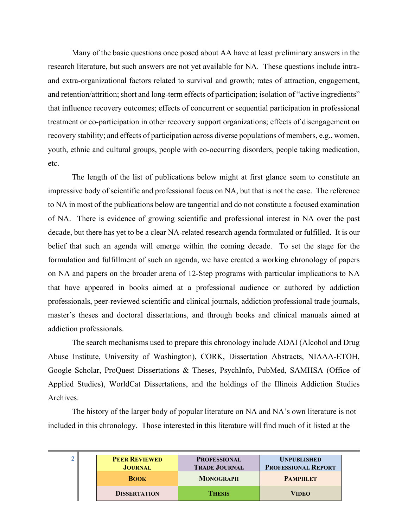Many of the basic questions once posed about AA have at least preliminary answers in the research literature, but such answers are not yet available for NA. These questions include intraand extra-organizational factors related to survival and growth; rates of attraction, engagement, and retention/attrition; short and long-term effects of participation; isolation of "active ingredients" that influence recovery outcomes; effects of concurrent or sequential participation in professional treatment or co-participation in other recovery support organizations; effects of disengagement on recovery stability; and effects of participation across diverse populations of members, e.g., women, youth, ethnic and cultural groups, people with co-occurring disorders, people taking medication, etc.

The length of the list of publications below might at first glance seem to constitute an impressive body of scientific and professional focus on NA, but that is not the case. The reference to NA in most of the publications below are tangential and do not constitute a focused examination of NA. There is evidence of growing scientific and professional interest in NA over the past decade, but there has yet to be a clear NA-related research agenda formulated or fulfilled. It is our belief that such an agenda will emerge within the coming decade. To set the stage for the formulation and fulfillment of such an agenda, we have created a working chronology of papers on NA and papers on the broader arena of 12-Step programs with particular implications to NA that have appeared in books aimed at a professional audience or authored by addiction professionals, peer-reviewed scientific and clinical journals, addiction professional trade journals, master's theses and doctoral dissertations, and through books and clinical manuals aimed at addiction professionals.

The search mechanisms used to prepare this chronology include ADAI (Alcohol and Drug Abuse Institute, University of Washington), CORK, Dissertation Abstracts, NIAAA-ETOH, Google Scholar, ProQuest Dissertations & Theses, PsychInfo, PubMed, SAMHSA (Office of Applied Studies), WorldCat Dissertations, and the holdings of the Illinois Addiction Studies Archives.

The history of the larger body of popular literature on NA and NA's own literature is not included in this chronology. Those interested in this literature will find much of it listed at the

|  | <b>PEER REVIEWED</b><br><b>JOURNAL</b> | <b>PROFESSIONAL</b><br><b>TRADE JOURNAL</b> | <b>UNPUBLISHED</b><br><b>PROFESSIONAL REPORT</b> |
|--|----------------------------------------|---------------------------------------------|--------------------------------------------------|
|  | <b>BOOK</b>                            | <b>MONOGRAPH</b>                            | <b>PAMPHLET</b>                                  |
|  | <b>DISSERTATION</b>                    | <b>THESIS</b>                               | <b>VIDEO</b>                                     |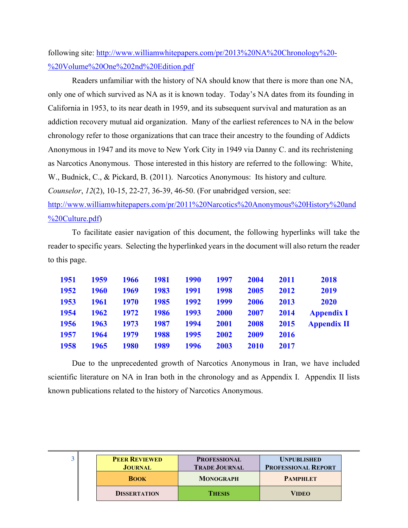<span id="page-2-0"></span>following site: [http://www.williamwhitepapers.com/pr/2013%20NA%20Chronology%20-](http://www.williamwhitepapers.com/pr/2013%20NA%20Chronology%20-%20Volume%20One%202nd%20Edition.pdf) [%20Volume%20One%202nd%20Edition.pdf](http://www.williamwhitepapers.com/pr/2013%20NA%20Chronology%20-%20Volume%20One%202nd%20Edition.pdf) 

Readers unfamiliar with the history of NA should know that there is more than one NA, only one of which survived as NA as it is known today. Today's NA dates from its founding in California in 1953, to its near death in 1959, and its subsequent survival and maturation as an addiction recovery mutual aid organization. Many of the earliest references to NA in the below chronology refer to those organizations that can trace their ancestry to the founding of Addicts Anonymous in 1947 and its move to New York City in 1949 via Danny C. and its rechristening as Narcotics Anonymous. Those interested in this history are referred to the following: White, W., Budnick, C., & Pickard, B. (2011). Narcotics Anonymous: Its history and culture*. Counselor*, *12*(2), 10-15, 22-27, 36-39, 46-50. (For unabridged version, see: [http://www.williamwhitepapers.com/pr/2011%20Narcotics%20Anonymous%20History%20and](http://www.williamwhitepapers.com/pr/2011%20Narcotics%20Anonymous%20History%20and%20Culture.pdf) [%20Culture.pdf\)](http://www.williamwhitepapers.com/pr/2011%20Narcotics%20Anonymous%20History%20and%20Culture.pdf)

To facilitate easier navigation of this document, the following hyperlinks will take the reader to specific years. Selecting the hyperlinked years in the document will also return the reader to this page.

| 1951 | 1959        | 1966 | 1981 | 1990 | 1997        | 2004 | 2011 | 2018               |
|------|-------------|------|------|------|-------------|------|------|--------------------|
| 1952 | <b>1960</b> | 1969 | 1983 | 1991 | 1998        | 2005 | 2012 | 2019               |
| 1953 | 1961        | 1970 | 1985 | 1992 | 1999        | 2006 | 2013 | 2020               |
| 1954 | 1962        | 1972 | 1986 | 1993 | <b>2000</b> | 2007 | 2014 | <b>Appendix I</b>  |
| 1956 | 1963        | 1973 | 1987 | 1994 | 2001        | 2008 | 2015 | <b>Appendix II</b> |
| 1957 | 1964        | 1979 | 1988 | 1995 | 2002        | 2009 | 2016 |                    |
| 1958 | 1965        | 1980 | 1989 | 1996 | 2003        | 2010 | 2017 |                    |

Due to the unprecedented growth of Narcotics Anonymous in Iran, we have included scientific literature on NA in Iran both in the chronology and as Appendix I. Appendix II lists known publications related to the history of Narcotics Anonymous.

|  | <b>PEER REVIEWED</b><br><b>JOURNAL</b> | <b>PROFESSIONAL</b><br><b>TRADE JOURNAL</b> | <b>UNPUBLISHED</b><br><b>PROFESSIONAL REPORT</b> |
|--|----------------------------------------|---------------------------------------------|--------------------------------------------------|
|  | <b>BOOK</b>                            | <b>MONOGRAPH</b>                            | <b>PAMPHLET</b>                                  |
|  | <b>DISSERTATION</b>                    | <b>THESIS</b>                               | <b>VIDEO</b>                                     |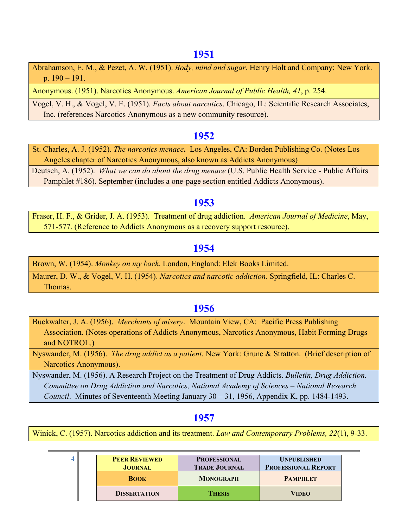<span id="page-3-0"></span>Abrahamson, E. M., & Pezet, A. W. (1951). *Body, mind and sugar*. Henry Holt and Company: New York. p. 190 – 191.

Anonymous. (1951). Narcotics Anonymous. *American Journal of Public Health, 41*, p. 254.

Vogel, V. H., & Vogel, V. E. (1951). *Facts about narcotics*. Chicago, IL: Scientific Research Associates, Inc. (references Narcotics Anonymous as a new community resource).

# **[1952](#page-2-0)**

St. Charles, A. J. (1952). *The narcotics menace***.** Los Angeles, CA: Borden Publishing Co. (Notes Los Angeles chapter of Narcotics Anonymous, also known as Addicts Anonymous)

Deutsch, A. (1952). *What we can do about the drug menace* (U.S. Public Health Service - Public Affairs Pamphlet #186). September (includes a one-page section entitled Addicts Anonymous).

# **[1953](#page-2-0)**

Fraser, H. F., & Grider, J. A. (1953). Treatment of drug addiction. *American Journal of Medicine*, May, 571-577. (Reference to Addicts Anonymous as a recovery support resource).

# **[1954](#page-2-0)**

Brown, W. (1954). *Monkey on my back*. London, England: Elek Books Limited.

Maurer, D. W., & Vogel, V. H. (1954). *Narcotics and narcotic addiction*. Springfield, IL: Charles C. Thomas.

# **[1956](#page-2-0)**

Buckwalter, J. A. (1956). *Merchants of misery*. Mountain View, CA: Pacific Press Publishing Association. (Notes operations of Addicts Anonymous, Narcotics Anonymous, Habit Forming Drugs and NOTROL.)

Nyswander, M. (1956). *The drug addict as a patient*. New York: Grune & Stratton. (Brief description of Narcotics Anonymous).

Nyswander, M. (1956). A Research Project on the Treatment of Drug Addicts. *Bulletin, Drug Addiction. Committee on Drug Addiction and Narcotics, National Academy of Sciences – National Research Council*. Minutes of Seventeenth Meeting January 30 – 31, 1956, Appendix K, pp. 1484-1493.

# **[1957](#page-2-0)**

Winick, C. (1957). Narcotics addiction and its treatment. *Law and Contemporary Problems, 22*(1), 9-33.

|  | <b>PEER REVIEWED</b><br><b>JOURNAL</b> | <b>PROFESSIONAL</b><br><b>TRADE JOURNAL</b> | <b>UNPUBLISHED</b><br><b>PROFESSIONAL REPORT</b> |
|--|----------------------------------------|---------------------------------------------|--------------------------------------------------|
|  | <b>BOOK</b>                            | <b>MONOGRAPH</b>                            | <b>PAMPHLET</b>                                  |
|  | <b>DISSERTATION</b>                    | <b>THESIS</b>                               | <b>VIDEO</b>                                     |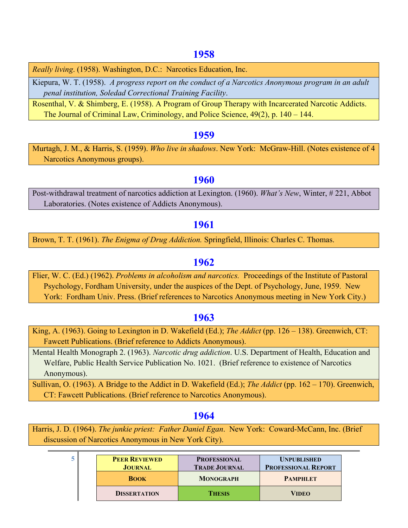<span id="page-4-0"></span>*Really living*. (1958). Washington, D.C.: Narcotics Education, Inc.

Kiepura, W. T. (1958). *A progress report on the conduct of a Narcotics Anonymous program in an adult penal institution, [Soledad Correctional Training Facility](http://www.worldcat.org/search?q=au%3ASoledad+Correctional+Training+Facility.&qt=hot_author)*.

Rosenthal, V. & Shimberg, E. (1958). A Program of Group Therapy with Incarcerated Narcotic Addicts. The Journal of Criminal Law, Criminology, and Police Science, 49(2), p. 140 – 144.

### **[1959](#page-2-0)**

Murtagh, J. M., & Harris, S. (1959). *Who live in shadows*. New York: McGraw-Hill. (Notes existence of 4 Narcotics Anonymous groups).

### **[1960](#page-2-0)**

Post-withdrawal treatment of narcotics addiction at Lexington. (1960). *What's New*, Winter, # 221, Abbot Laboratories. (Notes existence of Addicts Anonymous).

# **[1961](#page-2-0)**

Brown, T. T. (1961). *The Enigma of Drug Addiction.* Springfield, Illinois: Charles C. Thomas.

### **[1962](#page-2-0)**

Flier, W. C. (Ed.) (1962). *Problems in alcoholism and narcotics.* Proceedings of the Institute of Pastoral Psychology, Fordham University, under the auspices of the Dept. of Psychology, June, 1959. New York: Fordham Univ. Press. (Brief references to Narcotics Anonymous meeting in New York City.)

# **[1963](#page-2-0)**

King, A. (1963). Going to Lexington in D. Wakefield (Ed.); *The Addict* (pp. 126 – 138). Greenwich, CT: Fawcett Publications. (Brief reference to Addicts Anonymous).

Mental Health Monograph 2. (1963). *Narcotic drug addiction*. U.S. Department of Health, Education and Welfare, Public Health Service Publication No. 1021. (Brief reference to existence of Narcotics Anonymous).

Sullivan, O. (1963). A Bridge to the Addict in D. Wakefield (Ed.); *The Addict* (pp. 162 – 170). Greenwich, CT: Fawcett Publications. (Brief reference to Narcotics Anonymous).

# **[1964](#page-2-0)**

Harris, J. D. (1964). *The junkie priest: Father Daniel Egan*. New York: Coward-McCann, Inc. (Brief discussion of Narcotics Anonymous in New York City).

| 5. | <b>PEER REVIEWED</b><br><b>JOURNAL</b> | <b>PROFESSIONAL</b><br><b>TRADE JOURNAL</b> | <b>UNPUBLISHED</b><br><b>PROFESSIONAL REPORT</b> |
|----|----------------------------------------|---------------------------------------------|--------------------------------------------------|
|    | <b>BOOK</b>                            | <b>MONOGRAPH</b>                            | <b>PAMPHLET</b>                                  |
|    | <b>DISSERTATION</b>                    | <b>THESIS</b>                               | <b>VIDEO</b>                                     |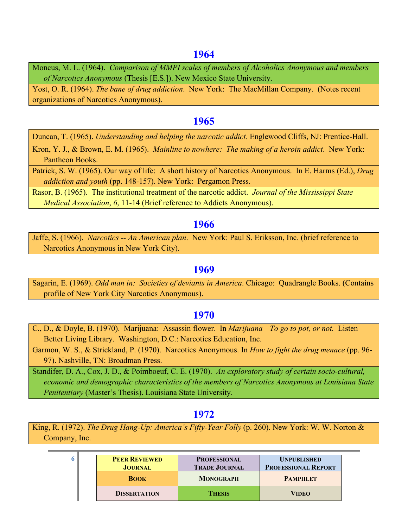<span id="page-5-0"></span>Moncus, M. L. (1964). *Comparison of MMPI scales of members of Alcoholics Anonymous and members of Narcotics Anonymous* (Thesis [E.S.]). New Mexico State University.

Yost, O. R. (1964). *The bane of drug addiction*. New York: The MacMillan Company. (Notes recent organizations of Narcotics Anonymous).

# **[1965](#page-2-0)**

Duncan, T. (1965). *Understanding and helping the narcotic addict*. Englewood Cliffs, NJ: Prentice-Hall.

Kron, Y. J., & Brown, E. M. (1965). *Mainline to nowhere: The making of a heroin addict*. New York: Pantheon Books.

Patrick, S. W. (1965). Our way of life: A short history of Narcotics Anonymous. In E. Harms (Ed.), *Drug addiction and youth* (pp. 148-157). New York: Pergamon Press.

Rasor, B. (1965). The institutional treatment of the narcotic addict. *Journal of the Mississippi State Medical Association*, *6*, 11-14 (Brief reference to Addicts Anonymous).

# **[1966](#page-2-0)**

Jaffe, S. (1966). *Narcotics -- An American plan*. New York: Paul S. Eriksson, Inc. (brief reference to Narcotics Anonymous in New York City).

# **[1969](#page-2-0)**

Sagarin, E. (1969). *Odd man in: Societies of deviants in America*. Chicago: Quadrangle Books. (Contains profile of New York City Narcotics Anonymous).

# **[1970](#page-2-0)**

C., D., & Doyle, B. (1970). Marijuana: Assassin flower. In *Marijuana—To go to pot, or not.* Listen— Better Living Library. Washington, D.C.: Narcotics Education, Inc.

Garmon, W. S., & Strickland, P. (1970). Narcotics Anonymous. In *How to fight the drug menace* (pp. 96- 97). Nashville, TN: Broadman Press.

Standifer, D. A., Cox, J. D., & Poimboeuf, C. E. (1970). *An exploratory study of certain socio-cultural, economic and demographic characteristics of the members of Narcotics Anonymous at Louisiana State Penitentiary* (Master's Thesis). Louisiana State University.

# **[1972](#page-2-0)**

King, R. (1972). *The Drug Hang-Up: America's Fifty-Year Folly* (p. 260). New York: W. W. Norton & Company, Inc.

| 6. | <b>PEER REVIEWED</b><br><b>JOURNAL</b> | <b>PROFESSIONAL</b><br><b>TRADE JOURNAL</b> | <b>UNPUBLISHED</b><br><b>PROFESSIONAL REPORT</b> |
|----|----------------------------------------|---------------------------------------------|--------------------------------------------------|
|    | <b>BOOK</b>                            | <b>MONOGRAPH</b>                            | <b>PAMPHLET</b>                                  |
|    | <b>DISSERTATION</b>                    | <b>THESIS</b>                               | <b>VIDEO</b>                                     |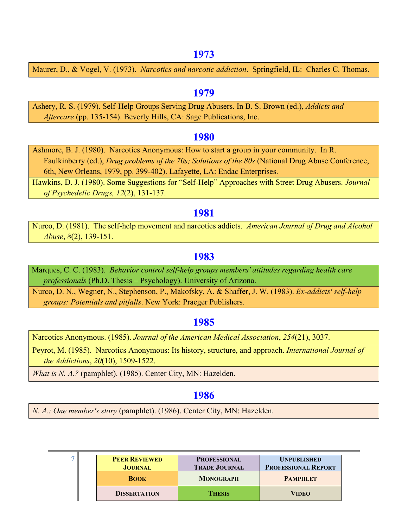<span id="page-6-0"></span>Maurer, D., & Vogel, V. (1973). *Narcotics and narcotic addiction*. Springfield, IL: Charles C. Thomas.

### **[1979](#page-2-0)**

Ashery, R. S. (1979). Self-Help Groups Serving Drug Abusers. In B. S. Brown (ed.), *Addicts and Aftercare* (pp. 135-154). Beverly Hills, CA: Sage Publications, Inc.

# **[1980](#page-2-0)**

Ashmore, B. J. (1980). Narcotics Anonymous: How to start a group in your community. In R. Faulkinberry (ed.), *Drug problems of the 70s; Solutions of the 80s* (National Drug Abuse Conference, 6th, New Orleans, 1979, pp. 399-402). Lafayette, LA: Endac Enterprises.

Hawkins, D. J. (1980). Some Suggestions for "Self-Help" Approaches with Street Drug Abusers. *Journal of Psychedelic Drugs, 12*(2), 131-137.

### **[1981](#page-2-0)**

Nurco, D. (1981). The self-help movement and narcotics addicts. *American Journal of Drug and Alcohol Abuse*, *8*(2), 139-151.

# **[1983](#page-2-0)**

Marques, C. C. (1983). *Behavior control self-help groups members' attitudes regarding health care professionals* (Ph.D. Thesis – Psychology). University of Arizona.

Nurco, D. N., Wegner, N., Stephenson, P., Makofsky, A. & Shaffer, J. W. (1983). *Ex-addicts' self-help groups: Potentials and pitfalls*. New York: Praeger Publishers.

# **[1985](#page-2-0)**

Narcotics Anonymous. (1985). *Journal of the American Medical Association*, *254*(21), 3037.

Peyrot, M. (1985). Narcotics Anonymous: Its history, structure, and approach. *International Journal of the Addictions*, *20*(10), 1509-1522.

*What is N. A.?* (pamphlet). (1985). Center City, MN: Hazelden.

# **[1986](#page-2-0)**

*N. A.: One member's story* (pamphlet). (1986). Center City, MN: Hazelden.

|  | <b>PEER REVIEWED</b><br><b>JOURNAL</b> | <b>PROFESSIONAL</b><br><b>TRADE JOURNAL</b> | <b>UNPUBLISHED</b><br><b>PROFESSIONAL REPORT</b> |
|--|----------------------------------------|---------------------------------------------|--------------------------------------------------|
|  | <b>BOOK</b>                            | <b>MONOGRAPH</b>                            | <b>PAMPHLET</b>                                  |
|  | <b>DISSERTATION</b>                    | <b>THESIS</b>                               | <b>VIDEO</b>                                     |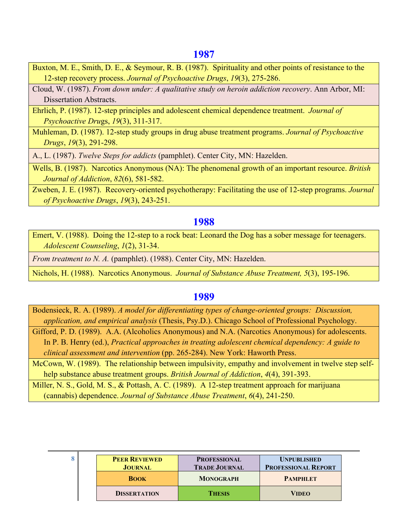<span id="page-7-0"></span>Buxton, M. E., Smith, D. E., & Seymour, R. B. (1987). Spirituality and other points of resistance to the 12-step recovery process. *Journal of Psychoactive Drugs*, *19*(3), 275-286.

Cloud, W. (1987). *From down under: A qualitative study on heroin addiction recovery*. Ann Arbor, MI: Dissertation Abstracts.

Ehrlich, P. (1987). 12-step principles and adolescent chemical dependence treatment. *Journal of Psychoactive Dru*gs, *19*(3), 311-317.

Muhleman, D. (1987). 12-step study groups in drug abuse treatment programs. *Journal of Psychoactive Drugs*, *19*(3), 291-298.

A., L. (1987). *Twelve Steps for addicts* (pamphlet). Center City, MN: Hazelden.

Wells, B. (1987). Narcotics Anonymous (NA): The phenomenal growth of an important resource. *British Journal of Addiction*, *82*(6), 581-582.

Zweben, J. E. (1987). Recovery-oriented psychotherapy: Facilitating the use of 12-step programs. *Journal of Psychoactive Drugs*, *19*(3), 243-251.

### **[1988](#page-2-0)**

Emert, V. (1988). Doing the 12-step to a rock beat: Leonard the Dog has a sober message for teenagers. *Adolescent Counseling*, *1*(2), 31-34.

*From treatment to N. A.* (pamphlet). (1988). Center City, MN: Hazelden.

Nichols, H. (1988). Narcotics Anonymous. *Journal of Substance Abuse Treatment, 5*(3), 195-196.

#### **[1989](#page-2-0)**

- Bodensieck, R. A. (1989). *A model for differentiating types of change-oriented groups: Discussion, application, and empirical analysis* (Thesis, Psy.D.). Chicago School of Professional Psychology.
- Gifford, P. D. (1989). A.A. (Alcoholics Anonymous) and N.A. (Narcotics Anonymous) for adolescents. In P. B. Henry (ed.), *Practical approaches in treating adolescent chemical dependency: A guide to clinical assessment and intervention* (pp. 265-284). New York: Haworth Press.

McCown, W. (1989). The relationship between impulsivity, empathy and involvement in twelve step selfhelp substance abuse treatment groups. *British Journal of Addiction*, *4*(4), 391-393.

Miller, N. S., Gold, M. S., & Pottash, A. C. (1989). A 12-step treatment approach for marijuana (cannabis) dependence. *Journal of Substance Abuse Treatment*, *6*(4), 241-250.

|  | <b>PEER REVIEWED</b><br><b>JOURNAL</b> | <b>PROFESSIONAL</b><br><b>TRADE JOURNAL</b> | <b>UNPUBLISHED</b><br><b>PROFESSIONAL REPORT</b> |
|--|----------------------------------------|---------------------------------------------|--------------------------------------------------|
|  | <b>BOOK</b>                            | <b>MONOGRAPH</b>                            | <b>PAMPHLET</b>                                  |
|  | <b>DISSERTATION</b>                    | <b>THESIS</b>                               | <b>VIDEO</b>                                     |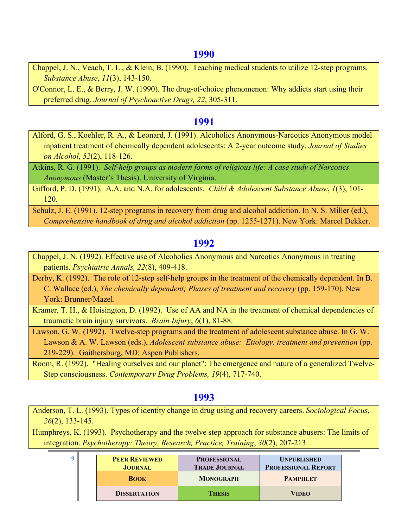<span id="page-8-0"></span>Chappel, J. N., Veach, T. L., & Klein, B. (1990). Teaching medical students to utilize 12-step programs. *Substance Abuse*, *11*(3), 143-150.

O'Connor, L. E., & Berry, J. W. (1990). The drug-of-choice phenomenon: Why addicts start using their preferred drug. *Journal of Psychoactive Drugs, 22*, 305-311.

### **[1991](#page-2-0)**

Alford, G. S., Koehler, R. A., & Leonard, J. (1991). Alcoholics Anonymous-Narcotics Anonymous model inpatient treatment of chemically dependent adolescents: A 2-year outcome study. *Journal of Studies on Alcohol*, *52*(2), 118-126.

Atkins, R. G. (1991). *Self-help groups as modern forms of religious life: A case study of Narcotics Anonymous* (Master's Thesis). University of Virginia.

Gifford, P. D. (1991). A.A. and N.A. for adolescents. *Child & Adolescent Substance Abuse*, *1*(3), 101- 120.

Schulz, J. E. (1991). 12-step programs in recovery from drug and alcohol addiction. In N. S. Miller (ed.), *Comprehensive handbook of drug and alcohol addiction* (pp. 1255-1271). New York: Marcel Dekker.

### **[1992](#page-2-0)**

Chappel, J. N. (1992). Effective use of Alcoholics Anonymous and Narcotics Anonymous in treating patients. *Psychiatric Annals, 22*(8), 409-418.

Derby, K. (1992). The role of 12-step self-help groups in the treatment of the chemically dependent. In B. C. Wallace (ed.), *The chemically dependent; Phases of treatment and recovery* (pp. 159-170). New York: Brunner/Mazel.

Kramer, T. H., & Hoisington, D. (1992). Use of AA and NA in the treatment of chemical dependencies of traumatic brain injury survivors. *Brain Injury*, *6*(1), 81-88.

Lawson, G. W. (1992). Twelve-step programs and the treatment of adolescent substance abuse. In G. W. Lawson & A. W. Lawson (eds.), *Adolescent substance abuse: Etiology, treatment and prevention* (pp. 219-229). Gaithersburg, MD: Aspen Publishers.

Room, R. (1992). "Healing ourselves and our planet": The emergence and nature of a generalized Twelve-Step consciousness. *Contemporary Drug Problems, 19*(4), 717-740.

### **[1993](#page-2-0)**

Anderson, T. L. (1993). Types of identity change in drug using and recovery careers. *Sociological Focus*, *26*(2), 133-145.

Humphreys, K. (1993). Psychotherapy and the twelve step approach for substance abusers: The limits of integration. *Psychotherapy: Theory, Research, Practice, Training*, *30*(2), 207-213.

|  | <b>PEER REVIEWED</b><br><b>JOURNAL</b> | <b>PROFESSIONAL</b><br><b>TRADE JOURNAL</b> | <b>UNPUBLISHED</b><br><b>PROFESSIONAL REPORT</b> |
|--|----------------------------------------|---------------------------------------------|--------------------------------------------------|
|  | <b>BOOK</b>                            | <b>MONOGRAPH</b>                            | <b>PAMPHLET</b>                                  |
|  | <b>DISSERTATION</b>                    | <b>THESIS</b>                               | <b>VIDEO</b>                                     |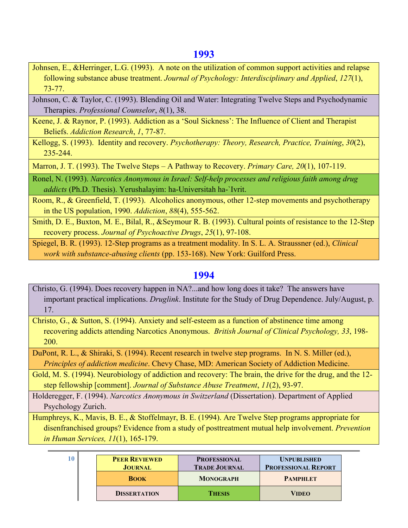- <span id="page-9-0"></span>Johnsen, E., &Herringer, L.G. (1993). A note on the utilization of common support activities and relapse following substance abuse treatment. *Journal of Psychology: Interdisciplinary and Applied*, *127*(1), 73-77.
- Johnson, C. & Taylor, C. (1993). Blending Oil and Water: Integrating Twelve Steps and Psychodynamic Therapies. *Professional Counselor*, *8*(1), 38.
- Keene, J. & Raynor, P. (1993). Addiction as a 'Soul Sickness': The Influence of Client and Therapist Beliefs. *Addiction Research*, *1*, 77-87.
- Kellogg, S. (1993). Identity and recovery. *Psychotherapy: Theory, Research, Practice, Training*, *30*(2), 235-244.

Marron, J. T. (1993). The Twelve Steps – A Pathway to Recovery. *Primary Care, 20*(1), 107-119.

- Ronel, N. (1993). *Narcotics Anonymous in Israel: Self-help processes and religious faith among drug addicts* (Ph.D. Thesis). Yerushalayim: ha-Universitah ha-`Ivrit.
- Room, R., & Greenfield, T. (1993). Alcoholics anonymous, other 12-step movements and psychotherapy in the US population, 1990. *Addiction*, *88*(4), 555-562.
- Smith, D. E., Buxton, M. E., Bilal, R., &Seymour R. B. (1993). Cultural points of resistance to the 12-Step recovery process. *Journal of Psychoactive Drugs*, *25*(1), 97-108.

Spiegel, B. R. (1993). 12-Step programs as a treatment modality. In S. L. A. Straussner (ed.), *Clinical work with substance-abusing clients* (pp. 153-168). New York: Guilford Press.

### **[1994](#page-2-0)**

- Christo, G. (1994). Does recovery happen in NA?...and how long does it take? The answers have important practical implications. *Druglink*. Institute for the Study of Drug Dependence. July/August, p. 17.
- Christo, G., & Sutton, S. (1994). Anxiety and self-esteem as a function of abstinence time among recovering addicts attending Narcotics Anonymous. *British Journal of Clinical Psychology, 33*, 198- 200.

DuPont, R. L., & Shiraki, S. (1994). Recent research in twelve step programs. In N. S. Miller (ed.), *Principles of addiction medicine*. Chevy Chase, MD: American Society of Addiction Medicine.

- Gold, M. S. (1994). Neurobiology of addiction and recovery: The brain, the drive for the drug, and the 12 step fellowship [comment]. *Journal of Substance Abuse Treatment*, *11*(2), 93-97.
- Holderegger, F. (1994). *Narcotics Anonymous in Switzerland* (Dissertation). Department of Applied Psychology Zurich.
- Humphreys, K., Mavis, B. E., & Stoffelmayr, B. E. (1994). Are Twelve Step programs appropriate for disenfranchised groups? Evidence from a study of posttreatment mutual help involvement. *Prevention in Human Services, 11*(1), 165-179.

| 10 | <b>PEER REVIEWED</b><br><b>JOURNAL</b> | <b>PROFESSIONAL</b><br><b>TRADE JOURNAL</b> | <b>UNPUBLISHED</b><br><b>PROFESSIONAL REPORT</b> |
|----|----------------------------------------|---------------------------------------------|--------------------------------------------------|
|    | <b>BOOK</b>                            | <b>MONOGRAPH</b>                            | <b>PAMPHLET</b>                                  |
|    | <b>DISSERTATION</b>                    | <b>THESIS</b>                               | VIDEO                                            |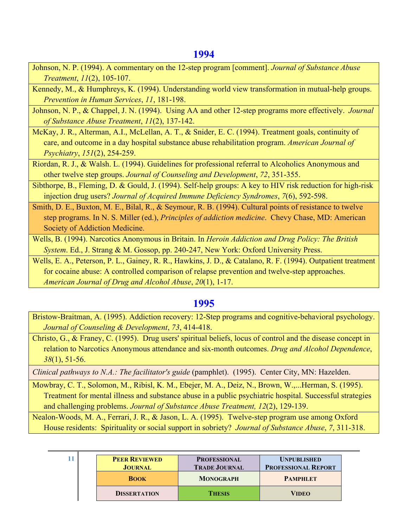<span id="page-10-0"></span>Johnson, N. P. (1994). A commentary on the 12-step program [comment]. *Journal of Substance Abuse Treatment*, *11*(2), 105-107.

Kennedy, M., & Humphreys, K. (1994). Understanding world view transformation in mutual-help groups. *Prevention in Human Services*, *11*, 181-198.

Johnson, N. P., & Chappel, J. N. (1994). Using AA and other 12-step programs more effectively. *Journal of Substance Abuse Treatment*, *11*(2), 137-142.

McKay, J. R., Alterman, A.I., McLellan, A. T., & Snider, E. C. (1994). Treatment goals, continuity of care, and outcome in a day hospital substance abuse rehabilitation program. *American Journal of Psychiatry*, *151*(2), 254-259.

Riordan, R. J., & Walsh. L. (1994). Guidelines for professional referral to Alcoholics Anonymous and other twelve step groups. *Journal of Counseling and Development*, *72*, 351-355.

Sibthorpe, B., Fleming, D. & Gould, J. (1994). Self-help groups: A key to HIV risk reduction for high-risk injection drug users? *Journal of Acquired Immune Deficiency Syndromes*, *7*(6), 592-598.

Smith, D. E., Buxton, M. E., Bilal, R., & Seymour, R. B. (1994). Cultural points of resistance to twelve step programs. In N. S. Miller (ed.), *Principles of addiction medicine*. Chevy Chase, MD: American Society of Addiction Medicine.

Wells, B. (1994). Narcotics Anonymous in Britain. In *Heroin Addiction and Drug Policy: The British System*. Ed., J. Strang & M. Gossop, pp. 240-247, New York: Oxford University Press.

Wells, E. A., Peterson, P. L., Gainey, R. R., Hawkins, J. D., & Catalano, R. F. (1994). Outpatient treatment for cocaine abuse: A controlled comparison of relapse prevention and twelve-step approaches. *American Journal of Drug and Alcohol Abuse*, *20*(1), 1-17.

# **[1995](#page-2-0)**

Bristow-Braitman, A. (1995). Addiction recovery: 12-Step programs and cognitive-behavioral psychology. *Journal of Counseling & Development*, *73*, 414-418.

Christo, G., & Franey, C. (1995). Drug users' spiritual beliefs, locus of control and the disease concept in relation to Narcotics Anonymous attendance and six-month outcomes. *Drug and Alcohol Dependence*, *38*(1), 51-56.

*Clinical pathways to N.A.: The facilitator's guide* (pamphlet). (1995). Center City, MN: Hazelden.

Mowbray, C. T., Solomon, M., Ribisl, K. M., Ebejer, M. A., Deiz, N., Brown, W.,...Herman, S. (1995). Treatment for mental illness and substance abuse in a public psychiatric hospital. Successful strategies and challenging problems. *Journal of Substance Abuse Treatment, 12*(2), 129-139.

Nealon-Woods, M. A., Ferrari, J. R., & Jason, L. A. (1995). Twelve-step program use among Oxford House residents: Spirituality or social support in sobriety? *Journal of Substance Abuse*, *7*, 311-318.

|  | <b>PEER REVIEWED</b><br><b>JOURNAL</b> | <b>PROFESSIONAL</b><br><b>TRADE JOURNAL</b> | <b>UNPUBLISHED</b><br><b>PROFESSIONAL REPORT</b> |
|--|----------------------------------------|---------------------------------------------|--------------------------------------------------|
|  | <b>BOOK</b>                            | <b>MONOGRAPH</b>                            | <b>PAMPHLET</b>                                  |
|  | <b>DISSERTATION</b>                    | <b>THESIS</b>                               | <b>VIDEO</b>                                     |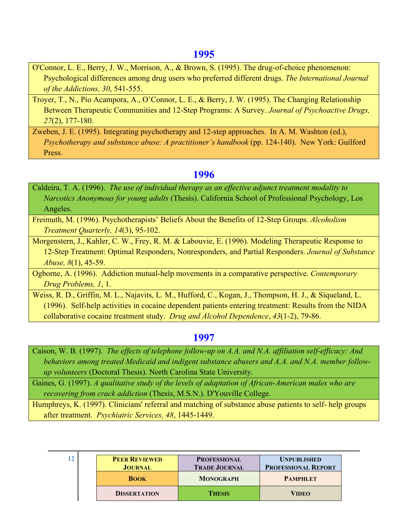<span id="page-11-0"></span>O'Connor, L. E., Berry, J. W., Morrison, A., & Brown, S. (1995). The drug-of-choice phenomenon: Psychological differences among drug users who preferred different drugs. *The International Journal of the Addictions, 30*, 541-555.

Troyer, T., N., Pio Acampora, A., O'Connor, L. E., & Berry, J. W. (1995). The Changing Relationship Between Therapeutic Communities and 12-Step Programs: A Survey. *Journal of Psychoactive Drugs, 27*(2), 177-180.

Zweben, J. E. (1995). Integrating psychotherapy and 12-step approaches. In A. M. Washton (ed.), *Psychotherapy and substance abuse: A practitioner's handbook* (pp. 124-140). New York: Guilford Press.

### **[1996](#page-2-0)**

- Caldeira, T. A. (1996). *The use of individual therapy as an effective adjunct treatment modality to Narcotics Anonymous for young adults* (Thesis). California School of Professional Psychology, Los Angeles.
- Freimuth, M. (1996). Psychotherapists' Beliefs About the Benefits of 12-Step Groups. *Alcoholism Treatment Quarterly, 14*(3), 95-102.

Morgenstern, J., Kahler, C. W., Frey, R. M. & Labouvie, E. (1996). Modeling Therapeutic Response to 12-Step Treatment: Optimal Responders, Nonresponders, and Partial Responders. *Journal of Substance Abuse, 8*(1), 45-59.

Ogborne, A. (1996). Addiction mutual-help movements in a comparative perspective. *Contemporary Drug Problems, 1*, 1.

Weiss, R. D., Griffin, M. L., Najavits, L. M., Hufford, C., Kogan, J., Thompson, H. J., & Siqueland, L. (1996). Self-help activities in cocaine dependent patients entering treatment: Results from the NIDA collaborative cocaine treatment study. *Drug and Alcohol Dependence*, *43*(1-2), 79-86.

# **[1997](#page-2-0)**

Caison, W. B. (1997). *The effects of telephone follow-up on A.A. and N.A. affiliation self-efficacy: And behaviors among treated Medicaid and indigent substance abusers and A.A. and N.A. member followup volunteers* (Doctoral Thesis). North Carolina State University.

Gaines, G. (1997). *A qualitative study of the levels of adaptation of African-American males who are recovering from crack addiction* (Thesis, M.S.N.). D'Youville College.

Humphreys, K. (1997). Clinicians' referral and matching of substance abuse patients to self- help groups after treatment. *Psychiatric Services, 48*, 1445-1449.

| 12 | <b>PEER REVIEWED</b><br><b>JOURNAL</b> | <b>PROFESSIONAL</b><br><b>TRADE JOURNAL</b> | <b>UNPUBLISHED</b><br><b>PROFESSIONAL REPORT</b> |
|----|----------------------------------------|---------------------------------------------|--------------------------------------------------|
|    | <b>BOOK</b>                            | <b>MONOGRAPH</b>                            | <b>PAMPHLET</b>                                  |
|    | <b>DISSERTATION</b>                    | <b>THESIS</b>                               | <b>VIDEO</b>                                     |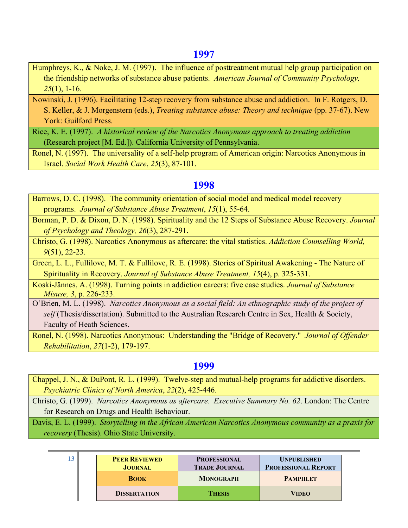- <span id="page-12-0"></span>Humphreys, K., & Noke, J. M. (1997). The influence of posttreatment mutual help group participation on the friendship networks of substance abuse patients. *American Journal of Community Psychology, 25*(1), 1-16.
- Nowinski, J. (1996). Facilitating 12-step recovery from substance abuse and addiction. In F. Rotgers, D. S. Keller, & J. Morgenstern (eds.), *Treating substance abuse: Theory and technique* (pp. 37-67). New York: Guilford Press.
- Rice, K. E. (1997). *A historical review of the Narcotics Anonymous approach to treating addiction* (Research project [M. Ed.]). California University of Pennsylvania.

Ronel, N. (1997). The universality of a self-help program of American origin: Narcotics Anonymous in Israel. *Social Work Health Care*, *25*(3), 87-101.

#### **[1998](#page-2-0)**

- Barrows, D. C. (1998). The community orientation of social model and medical model recovery programs. *Journal of Substance Abuse Treatment*, *15*(1), 55-64.
- Borman, P. D. & Dixon, D. N. (1998). Spirituality and the 12 Steps of Substance Abuse Recovery. *Journal of Psychology and Theology, 26*(3), 287-291.
- Christo, G. (1998). Narcotics Anonymous as aftercare: the vital statistics. *Addiction Counselling World, 9*(51), 22-23.
- Green, L. L., Fullilove, M. T. & Fullilove, R. E. (1998). Stories of Spiritual Awakening The Nature of Spirituality in Recovery. *Journal of Substance Abuse Treatment, 15*(4), p. 325-331.
- Koski-Jännes, A. (1998). Turning points in addiction careers: five case studies. *Journal of Substance Misuse, 3*, p. 226-233.
- O'Brien, M. L. (1998). *Narcotics Anonymous as a social field: An ethnographic study of the project of self* (Thesis/dissertation). Submitted to the Australian Research Centre in Sex, Health & Society, Faculty of Heath Sciences.

Ronel, N. (1998). Narcotics Anonymous: Understanding the "Bridge of Recovery." *Journal of Offender Rehabilitation*, *27*(1-2), 179-197.

#### **[1999](#page-2-0)**

- Chappel, J. N., & DuPont, R. L. (1999). Twelve-step and mutual-help programs for addictive disorders. *Psychiatric Clinics of North America*, *22*(2), 425-446.
- Christo, G. (1999). *Narcotics Anonymous as aftercare*. *Executive Summary No. 62*. London: The Centre for Research on Drugs and Health Behaviour.

Davis, E. L. (1999). *Storytelling in the African American Narcotics Anonymous community as a praxis for recovery* (Thesis). Ohio State University.

|  | <b>PEER REVIEWED</b><br><b>JOURNAL</b> | <b>PROFESSIONAL</b><br><b>TRADE JOURNAL</b> | <b>UNPUBLISHED</b><br><b>PROFESSIONAL REPORT</b> |
|--|----------------------------------------|---------------------------------------------|--------------------------------------------------|
|  | <b>BOOK</b>                            | <b>MONOGRAPH</b>                            | <b>PAMPHLET</b>                                  |
|  | <b>DISSERTATION</b>                    | <b>THESIS</b>                               | <b>VIDEO</b>                                     |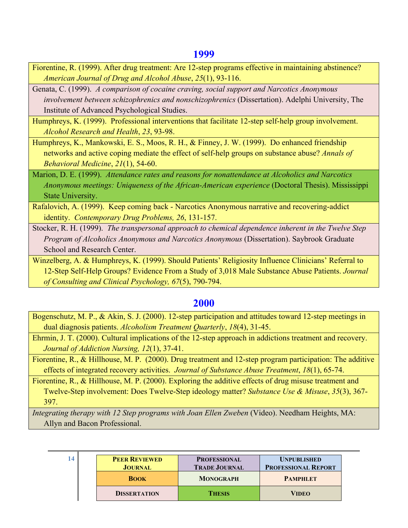<span id="page-13-0"></span>Fiorentine, R. (1999). After drug treatment: Are 12-step programs effective in maintaining abstinence? *American Journal of Drug and Alcohol Abuse*, *25*(1), 93-116.

Genata, C. (1999). *A comparison of cocaine craving, social support and Narcotics Anonymous involvement between schizophrenics and nonschizophrenics* (Dissertation). Adelphi University, The Institute of Advanced Psychological Studies.

Humphreys, K. (1999). Professional interventions that facilitate 12-step self-help group involvement. *Alcohol Research and Health*, *23*, 93-98.

Humphreys, K., Mankowski, E. S., Moos, R. H., & Finney, J. W. (1999). Do enhanced friendship networks and active coping mediate the effect of self-help groups on substance abuse? *Annals of Behavioral Medicine*, *21*(1), 54-60.

Marion, D. E. (1999). *Attendance rates and reasons for nonattendance at Alcoholics and Narcotics Anonymous meetings: Uniqueness of the African-American experience* (Doctoral Thesis). Mississippi State University.

Rafalovich, A. (1999). Keep coming back - Narcotics Anonymous narrative and recovering-addict identity. *Contemporary Drug Problems, 26*, 131-157.

Stocker, R. H. (1999). *The transpersonal approach to chemical dependence inherent in the Twelve Step Program of Alcoholics Anonymous and Narcotics Anonymous* (Dissertation). Saybrook Graduate School and Research Center.

Winzelberg, A. & Humphreys, K. (1999). Should Patients' Religiosity Influence Clinicians' Referral to 12-Step Self-Help Groups? Evidence From a Study of 3,018 Male Substance Abuse Patients. *Journal of Consulting and Clinical Psychology, 67*(5), 790-794.

#### **[2000](#page-2-0)**

Bogenschutz, M. P., & Akin, S. J. (2000). 12-step participation and attitudes toward 12-step meetings in dual diagnosis patients. *Alcoholism Treatment Quarterly*, *18*(4), 31-45.

Ehrmin, J. T. (2000). Cultural implications of the 12-step approach in addictions treatment and recovery. *Journal of Addiction Nursing, 12*(1), 37-41.

Fiorentine, R., & Hillhouse, M. P. (2000). Drug treatment and 12-step program participation: The additive effects of integrated recovery activities. *Journal of Substance Abuse Treatment*, *18*(1), 65-74.

Fiorentine, R., & Hillhouse, M. P. (2000). Exploring the additive effects of drug misuse treatment and Twelve-Step involvement: Does Twelve-Step ideology matter? *Substance Use & Misuse*, *35*(3), 367- 397.

*Integrating therapy with 12 Step programs with Joan Ellen Zweben* (Video). Needham Heights, MA: Allyn and Bacon Professional.

|  | <b>PEER REVIEWED</b><br><b>JOURNAL</b> | <b>PROFESSIONAL</b><br><b>TRADE JOURNAL</b> | <b>UNPUBLISHED</b><br><b>PROFESSIONAL REPORT</b> |
|--|----------------------------------------|---------------------------------------------|--------------------------------------------------|
|  | <b>BOOK</b>                            | <b>MONOGRAPH</b>                            | <b>PAMPHLET</b>                                  |
|  | <b>DISSERTATION</b>                    | <b>THESIS</b>                               | <b>VIDEO</b>                                     |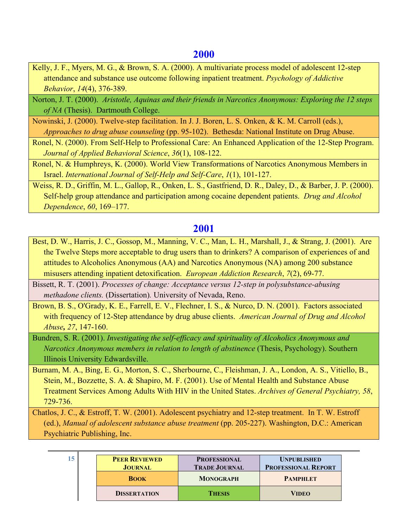<span id="page-14-0"></span>Kelly, J. F., Myers, M. G., & Brown, S. A. (2000). A multivariate process model of adolescent 12-step attendance and substance use outcome following inpatient treatment. *Psychology of Addictive Behavior*, *14*(4), 376-389.

Norton, J. T. (2000). *Aristotle, Aquinas and their friends in Narcotics Anonymous: Exploring the 12 steps of NA* (Thesis). Dartmouth College.

Nowinski, J. (2000). Twelve-step facilitation. In J. J. Boren, L. S. Onken, & K. M. Carroll (eds.), *Approaches to drug abuse counseling* (pp. 95-102). Bethesda: National Institute on Drug Abuse.

Ronel, N. (2000). From Self-Help to Professional Care: An Enhanced Application of the 12-Step Program. *Journal of Applied Behavioral Science*, *36*(1), 108-122.

Ronel, N. & Humphreys, K. (2000). World View Transformations of Narcotics Anonymous Members in Israel. *International Journal of Self-Help and Self-Care*, *1*(1), 101-127.

Weiss, R. D., Griffin, M. L., Gallop, R., Onken, L. S., Gastfriend, D. R., Daley, D., & Barber, J. P. (2000). Self-help group attendance and participation among cocaine dependent patients. *Drug and Alcohol Dependence*, *60*, 169–177.

### **[2001](#page-2-0)**

Best, D. W., Harris, J. C., Gossop, M., Manning, V. C., Man, L. H., Marshall, J., & Strang, J. (2001). Are the Twelve Steps more acceptable to drug users than to drinkers? A comparison of experiences of and attitudes to Alcoholics Anonymous (AA) and Narcotics Anonymous (NA) among 200 substance misusers attending inpatient detoxification. *European Addiction Research*, *7*(2), 69-77.

Bissett, R. T. (2001). *Processes of change: Acceptance versus 12-step in polysubstance-abusing methadone clients.* (Dissertation)*.* University of Nevada, Reno.

Brown, B. S., O'Grady, K. E., Farrell, E. V., Flechner, I. S., & Nurco, D. N. (2001). Factors associated with frequency of 12-Step attendance by drug abuse clients. *American Journal of Drug and Alcohol Abuse, 27*, 147-160.

Bundren, S. R. (2001). *Investigating the self-efficacy and spirituality of Alcoholics Anonymous and Narcotics Anonymous members in relation to length of abstinence* (Thesis, Psychology). Southern Illinois University Edwardsville.

Burnam, M. A., Bing, E. G., Morton, S. C., Sherbourne, C., Fleishman, J. A., London, A. S., Vitiello, B., Stein, M., Bozzette, S. A. & Shapiro, M. F. (2001). Use of Mental Health and Substance Abuse Treatment Services Among Adults With HIV in the United States. *Archives of General Psychiatry, 58*, 729-736.

Chatlos, J. C., & Estroff, T. W. (2001). Adolescent psychiatry and 12-step treatment. In T. W. Estroff (ed.), *Manual of adolescent substance abuse treatment* (pp. 205-227). Washington, D.C.: American Psychiatric Publishing, Inc.

| 15 | <b>PEER REVIEWED</b><br><b>JOURNAL</b> | <b>PROFESSIONAL</b><br><b>TRADE JOURNAL</b> | <b>UNPUBLISHED</b><br><b>PROFESSIONAL REPORT</b> |
|----|----------------------------------------|---------------------------------------------|--------------------------------------------------|
|    | <b>BOOK</b>                            | <b>MONOGRAPH</b>                            | <b>PAMPHLET</b>                                  |
|    | <b>DISSERTATION</b>                    | <b>THESIS</b>                               | <b>VIDEO</b>                                     |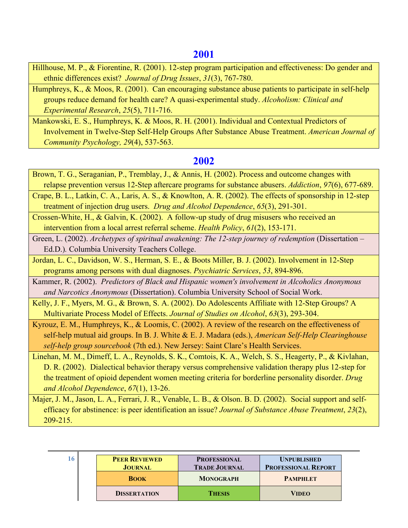<span id="page-15-0"></span>Hillhouse, M. P., & Fiorentine, R. (2001). 12-step program participation and effectiveness: Do gender and ethnic differences exist? *Journal of Drug Issues*, *31*(3), 767-780.

Humphreys, K., & Moos, R. (2001). Can encouraging substance abuse patients to participate in self-help groups reduce demand for health care? A quasi-experimental study. *Alcoholism: Clinical and Experimental Research*, *25*(5), 711-716.

Mankowski, E. S., Humphreys, K. & Moos, R. H. (2001). Individual and Contextual Predictors of Involvement in Twelve-Step Self-Help Groups After Substance Abuse Treatment. *American Journal of Community Psychology, 29*(4), 537-563.

### **[2002](#page-2-0)**

Brown, T. G., Seraganian, P., Tremblay, J., & Annis, H. (2002). Process and outcome changes with relapse prevention versus 12-Step aftercare programs for substance abusers. *Addiction*, *97*(6), 677-689. Crape, B. L., Latkin, C. A., Laris, A. S., & Knowlton, A. R. (2002). The effects of sponsorship in 12-step treatment of injection drug users. *Drug and Alcohol Dependence*, *65*(3), 291-301. Crossen-White, H., & Galvin, K. (2002). A follow-up study of drug misusers who received an intervention from a local arrest referral scheme. *Health Policy*, *61*(2), 153-171. Green, L. (2002). *Archetypes of spiritual awakening: The 12-step journey of redemption* (Dissertation – Ed.D.)*.* Columbia University Teachers College. Jordan, L. C., Davidson, W. S., Herman, S. E., & Boots Miller, B. J. (2002). Involvement in 12-Step programs among persons with dual diagnoses. *Psychiatric Services*, *53*, 894-896. Kammer, R. (2002). *Predictors of Black and Hispanic women's involvement in Alcoholics Anonymous and Narcotics Anonymous* (Dissertation). Columbia University School of Social Work. Kelly, J. F., Myers, M. G., & Brown, S. A. (2002). Do Adolescents Affiliate with 12-Step Groups? A Multivariate Process Model of Effects. *Journal of Studies on Alcohol*, *63*(3), 293-304. Kyrouz, E. M., Humphreys, K., & Loomis, C. (2002). A review of the research on the effectiveness of self-help mutual aid groups. In B. J. White & E. J. Madara (eds.), *American Self-Help Clearinghouse* 

*self-help group sourcebook* (7th ed.). New Jersey: Saint Clare's Health Services.

Linehan, M. M., Dimeff, L. A., Reynolds, S. K., Comtois, K. A., Welch, S. S., Heagerty, P., & Kivlahan, D. R. (2002). Dialectical behavior therapy versus comprehensive validation therapy plus 12-step for the treatment of opioid dependent women meeting criteria for borderline personality disorder. *Drug and Alcohol Dependence*, *67*(1), 13-26.

Majer, J. M., Jason, L. A., Ferrari, J. R., Venable, L. B., & Olson. B. D. (2002). Social support and selfefficacy for abstinence: is peer identification an issue? *Journal of Substance Abuse Treatment*, *23*(2), 209-215.

|  | <b>PEER REVIEWED</b><br><b>JOURNAL</b> | <b>PROFESSIONAL</b><br><b>TRADE JOURNAL</b> | <b>UNPUBLISHED</b><br><b>PROFESSIONAL REPORT</b> |
|--|----------------------------------------|---------------------------------------------|--------------------------------------------------|
|  | <b>BOOK</b>                            | <b>MONOGRAPH</b>                            | <b>PAMPHLET</b>                                  |
|  | <b>DISSERTATION</b>                    | <b>THESIS</b>                               | <b>VIDEO</b>                                     |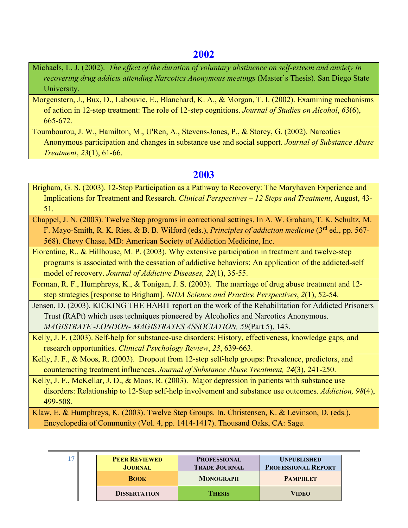- <span id="page-16-0"></span>Michaels, L. J. (2002). *The effect of the duration of voluntary abstinence on self-esteem and anxiety in recovering drug addicts attending Narcotics Anonymous meetings* (Master's Thesis). San Diego State University.
- Morgenstern, J., Bux, D., Labouvie, E., Blanchard, K. A., & Morgan, T. I. (2002). Examining mechanisms of action in 12-step treatment: The role of 12-step cognitions. *Journal of Studies on Alcohol*, *63*(6), 665-672.

Toumbourou, J. W., Hamilton, M., U'Ren, A., Stevens-Jones, P., & Storey, G. (2002). Narcotics Anonymous participation and changes in substance use and social support. *Journal of Substance Abuse Treatment*, *23*(1), 61-66.

# **[2003](#page-2-0)**

- Brigham, G. S. (2003). 12-Step Participation as a Pathway to Recovery: The Maryhaven Experience and Implications for Treatment and Research. *Clinical Perspectives – 12 Steps and Treatment*, August, 43- 51.
- Chappel, J. N. (2003). Twelve Step programs in correctional settings. In A. W. Graham, T. K. Schultz, M. F. Mayo-Smith, R. K. Ries, & B. B. Wilford (eds.), *Principles of addiction medicine* (3rd ed., pp. 567- 568). Chevy Chase, MD: American Society of Addiction Medicine, Inc.

Fiorentine, R., & Hillhouse, M. P. (2003). Why extensive participation in treatment and twelve-step programs is associated with the cessation of addictive behaviors: An application of the addicted-self model of recovery. *Journal of Addictive Diseases, 22*(1), 35-55.

Forman, R. F., Humphreys, K., & Tonigan, J. S. (2003). The marriage of drug abuse treatment and 12 step strategies [response to Brigham]. *NIDA Science and Practice Perspectives*, *2*(1), 52-54.

Jensen, D. (2003). KICKING THE HABIT report on the work of the Rehabilitation for Addicted Prisoners Trust (RAPt) which uses techniques pioneered by Alcoholics and Narcotics Anonymous. *MAGISTRATE -LONDON- MAGISTRATES ASSOCIATION, 59*(Part 5), 143.

Kelly, J. F. (2003). Self-help for substance-use disorders: History, effectiveness, knowledge gaps, and research opportunities. *Clinical Psychology Review*, *23*, 639-663.

Kelly, J. F., & Moos, R. (2003). Dropout from 12-step self-help groups: Prevalence, predictors, and counteracting treatment influences. *Journal of Substance Abuse Treatment, 24*(3), 241-250.

Kelly, J. F., McKellar, J. D., & Moos, R. (2003). Major depression in patients with substance use disorders: Relationship to 12-Step self-help involvement and substance use outcomes. *Addiction, 98*(4), 499-508.

Klaw, E. & Humphreys, K. (2003). Twelve Step Groups. In. Christensen, K. & Levinson, D. (eds.), Encyclopedia of Community (Vol. 4, pp. 1414-1417). Thousand Oaks, CA: Sage.

|  | <b>PEER REVIEWED</b><br><b>JOURNAL</b> | <b>PROFESSIONAL</b><br><b>TRADE JOURNAL</b> | <b>UNPUBLISHED</b><br><b>PROFESSIONAL REPORT</b> |
|--|----------------------------------------|---------------------------------------------|--------------------------------------------------|
|  | <b>BOOK</b>                            | <b>MONOGRAPH</b>                            | <b>PAMPHLET</b>                                  |
|  | <b>DISSERTATION</b>                    | <b>THESIS</b>                               | <b>VIDEO</b>                                     |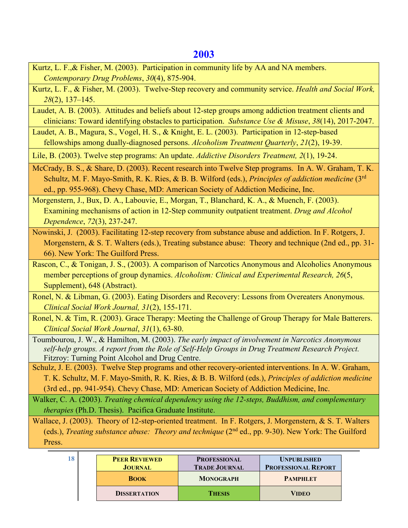Kurtz, L. F.,& Fisher, M. (2003). Participation in community life by AA and NA members. *Contemporary Drug Problems*, *30*(4), 875-904.

Kurtz, L. F., & Fisher, M. (2003). Twelve-Step recovery and community service. *Health and Social Work, 28*(2), 137–145.

Laudet, A. B. (2003). Attitudes and beliefs about 12-step groups among addiction treatment clients and clinicians: Toward identifying obstacles to participation. *Substance Use & Misuse*, *38*(14), 2017-2047.

Laudet, A. B., Magura, S., Vogel, H. S., & Knight, E. L. (2003). Participation in 12-step-based fellowships among dually-diagnosed persons. *Alcoholism Treatment Quarterly*, *21*(2), 19-39.

Lile, B. (2003). Twelve step programs: An update. *Addictive Disorders Treatment, 2*(1), 19-24.

McCrady, B. S., & Share, D. (2003). Recent research into Twelve Step programs. In A. W. Graham, T. K. Schultz, M. F. Mayo-Smith, R. K. Ries, & B. B. Wilford (eds.), *Principles of addiction medicine* (3rd ed., pp. 955-968). Chevy Chase, MD: American Society of Addiction Medicine, Inc.

Morgenstern, J., Bux, D. A., Labouvie, E., Morgan, T., Blanchard, K. A., & Muench, F. (2003). Examining mechanisms of action in 12-Step community outpatient treatment. *Drug and Alcohol Dependence*, *72*(3), 237-247.

Nowinski, J. (2003). Facilitating 12-step recovery from substance abuse and addiction. In F. Rotgers, J. Morgenstern, & S. T. Walters (eds.), Treating substance abuse: Theory and technique (2nd ed., pp. 31-66). New York: The Guilford Press.

Rascon, C., & Tonigan, J. S., (2003). A comparison of Narcotics Anonymous and Alcoholics Anonymous member perceptions of group dynamics. *Alcoholism: Clinical and Experimental Research, 26*(5, Supplement), 648 (Abstract).

Ronel, N. & Libman, G. (2003). Eating Disorders and Recovery: Lessons from Overeaters Anonymous. *Clinical Social Work Journal, 31*(2), 155-171.

Ronel, N. & Tim, R. (2003). Grace Therapy: Meeting the Challenge of Group Therapy for Male Batterers. *Clinical Social Work Journal*, *31*(1), 63-80.

Toumbourou, J. W., & Hamilton, M. (2003). *The early impact of involvement in Narcotics Anonymous self-help groups. A report from the Role of Self-Help Groups in Drug Treatment Research Project.*  Fitzroy: Turning Point Alcohol and Drug Centre.

Schulz, J. E. (2003). Twelve Step programs and other recovery-oriented interventions. In A. W. Graham, T. K. Schultz, M. F. Mayo-Smith, R. K. Ries, & B. B. Wilford (eds.), *Principles of addiction medicine*  (3rd ed., pp. 941-954). Chevy Chase, MD: American Society of Addiction Medicine, Inc.

Walker, C. A. (2003). *Treating chemical dependency using the 12-steps, Buddhism, and complementary therapies* (Ph.D. Thesis). Pacifica Graduate Institute.

Wallace, J. (2003). Theory of 12-step-oriented treatment. In F. Rotgers, J. Morgenstern, & S. T. Walters (eds.), *Treating substance abuse: Theory and technique* (2<sup>nd</sup> ed., pp. 9-30). New York: The Guilford Press.

| 18 | <b>PEER REVIEWED</b><br><b>JOURNAL</b> | <b>PROFESSIONAL</b><br><b>TRADE JOURNAL</b> | <b>UNPUBLISHED</b><br><b>PROFESSIONAL REPORT</b> |
|----|----------------------------------------|---------------------------------------------|--------------------------------------------------|
|    | <b>BOOK</b>                            | <b>MONOGRAPH</b>                            | <b>PAMPHLET</b>                                  |
|    | <b>DISSERTATION</b>                    | <b>THESIS</b>                               | VIDEO                                            |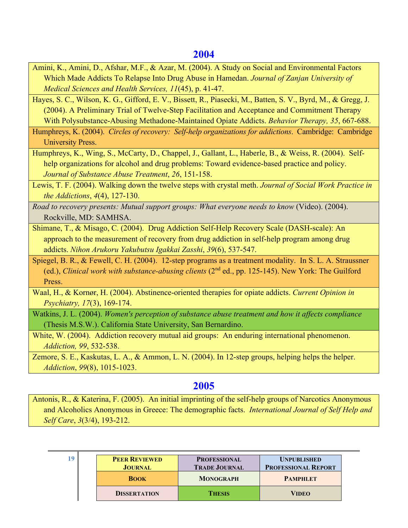- <span id="page-18-0"></span>Amini, K., Amini, D., Afshar, M.F., & Azar, M. (2004). A Study on Social and Environmental Factors Which Made Addicts To Relapse Into Drug Abuse in Hamedan. *Journal of Zanjan University of Medical Sciences and Health Services, 11*(45), p. 41-47.
- Hayes, S. C., Wilson, K. G., Gifford, E. V., Bissett, R., Piasecki, M., Batten, S. V., Byrd, M., & Gregg, J. (2004). A Preliminary Trial of Twelve-Step Facilitation and Acceptance and Commitment Therapy With Polysubstance-Abusing Methadone-Maintained Opiate Addicts. *Behavior Therapy, 35*, 667-688.

Humphreys, K. (2004). *Circles of recovery: Self-help organizations for addictions*. Cambridge: Cambridge University Press.

Humphreys, K., Wing, S., McCarty, D., Chappel, J., Gallant, L., Haberle, B., & Weiss, R. (2004). Selfhelp organizations for alcohol and drug problems: Toward evidence-based practice and policy. *Journal of Substance Abuse Treatment*, *26*, 151-158.

Lewis, T. F. (2004). Walking down the twelve steps with crystal meth. *Journal of Social Work Practice in the Addictions*, *4*(4), 127-130.

*Road to recovery presents: Mutual support groups: What everyone needs to know* (Video). (2004). Rockville, MD: SAMHSA.

Shimane, T., & Misago, C. (2004). Drug Addiction Self-Help Recovery Scale (DASH-scale): An approach to the measurement of recovery from drug addiction in self-help program among drug addicts. *Nihon Arukoru Yakubutsu Igakkai Zasshi*, *39*(6), 537-547.

Spiegel, B. R., & Fewell, C. H. (2004). 12-step programs as a treatment modality. In S. L. A. Straussner (ed.), *Clinical work with substance-abusing clients* (2nd ed., pp. 125-145). New York: The Guilford Press.

Waal, H., & Kornør, H. (2004). Abstinence-oriented therapies for opiate addicts. *Current Opinion in Psychiatry, 17*(3), 169-174.

Watkins, J. L. (2004). *Women's perception of substance abuse treatment and how it affects compliance* (Thesis M.S.W.). California State University, San Bernardino.

White, W. (2004). Addiction recovery mutual aid groups: An enduring international phenomenon. *Addiction, 99*, 532-538.

Zemore, S. E., Kaskutas, L. A., & Ammon, L. N. (2004). In 12-step groups, helping helps the helper. *Addiction*, *99*(8), 1015-1023.

# **[2005](#page-2-0)**

Antonis, R., & Katerina, F. (2005). An initial imprinting of the self-help groups of Narcotics Anonymous and Alcoholics Anonymous in Greece: The demographic facts. *International Journal of Self Help and Self Care*, *3*(3/4), 193-212.

| $\mathcal{L}$ | I                   |
|---------------|---------------------|
|               |                     |
| ٠             | ×                   |
|               | ł<br>۰.<br>۰.<br>., |
|               |                     |

| 19 | <b>PEER REVIEWED</b><br><b>JOURNAL</b> | <b>PROFESSIONAL</b><br><b>TRADE JOURNAL</b> | <b>UNPUBLISHED</b><br><b>PROFESSIONAL REPORT</b> |
|----|----------------------------------------|---------------------------------------------|--------------------------------------------------|
|    | <b>BOOK</b>                            | <b>MONOGRAPH</b>                            | <b>PAMPHLET</b>                                  |
|    | <b>DISSERTATION</b>                    | <b>THESIS</b>                               | <b>VIDEO</b>                                     |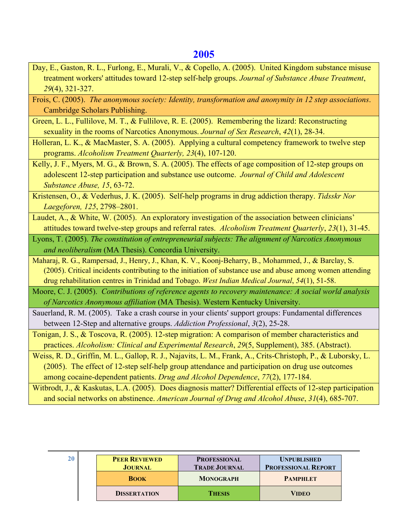Day, E., Gaston, R. L., Furlong, E., Murali, V., & Copello, A. (2005). United Kingdom substance misuse treatment workers' attitudes toward 12-step self-help groups. *Journal of Substance Abuse Treatment*, *29*(4), 321-327.

Frois, C. (2005). *The anonymous society: Identity, transformation and anonymity in 12 step associations*. Cambridge Scholars Publishing.

Green, L. L., Fullilove, M. T., & Fullilove, R. E. (2005). Remembering the lizard: Reconstructing sexuality in the rooms of Narcotics Anonymous. *Journal of Sex Research*, *42*(1), 28-34.

Holleran, L. K., & MacMaster, S. A. (2005). Applying a cultural competency framework to twelve step programs. *Alcoholism Treatment Quarterly, 23*(4), 107-120.

Kelly, J. F., Myers, M. G., & Brown, S. A. (2005). The effects of age composition of 12-step groups on adolescent 12-step participation and substance use outcome. *Journal of Child and Adolescent Substance Abuse, 15*, 63-72.

Kristensen, O., & Vederhus, J. K. (2005). Self-help programs in drug addiction therapy. *Tidsskr Nor Laegeforen, 125*, 2798–2801.

Laudet, A.,  $\&$  White, W. (2005). An exploratory investigation of the association between clinicians' attitudes toward twelve-step groups and referral rates. *Alcoholism Treatment Quarterly*, *23*(1), 31-45.

Lyons, T. (2005). *The constitution of entrepreneurial subjects: The alignment of Narcotics Anonymous and neoliberalism* (MA Thesis). Concordia University.

Maharaj, R. G., Rampersad, J., Henry, J., Khan, K. V., Koonj-Beharry, B., Mohammed, J., & Barclay, S. (2005). Critical incidents contributing to the initiation of substance use and abuse among women attending drug rehabilitation centres in Trinidad and Tobago. *West Indian Medical Journal*, *54*(1), 51-58.

Moore, C. J. (2005). *Contributions of reference agents to recovery maintenance: A social world analysis of Narcotics Anonymous affiliation* (MA Thesis). Western Kentucky University.

Sauerland, R. M. (2005). Take a crash course in your clients' support groups: Fundamental differences between 12-Step and alternative groups. *Addiction Professional*, *3*(2), 25-28.

Tonigan, J. S., & Toscova, R. (2005). 12-step migration: A comparison of member characteristics and practices. *Alcoholism: Clinical and Experimental Research*, *29*(5, Supplement), 385. (Abstract).

Weiss, R. D., Griffin, M. L., Gallop, R. J., Najavits, L. M., Frank, A., Crits-Christoph, P., & Luborsky, L. (2005). The effect of 12-step self-help group attendance and participation on drug use outcomes among cocaine-dependent patients. *Drug and Alcohol Dependence*, *77*(2), 177-184.

Witbrodt, J., & Kaskutas, L.A. (2005). Does diagnosis matter? Differential effects of 12-step participation and social networks on abstinence. *American Journal of Drug and Alcohol Abuse*, *31*(4), 685-707.

| 20 | <b>PEER REVIEWED</b><br><b>JOURNAL</b> | <b>PROFESSIONAL</b><br><b>TRADE JOURNAL</b> | <b>UNPUBLISHED</b><br><b>PROFESSIONAL REPORT</b> |
|----|----------------------------------------|---------------------------------------------|--------------------------------------------------|
|    | <b>BOOK</b>                            | <b>MONOGRAPH</b>                            | <b>PAMPHLET</b>                                  |
|    | <b>DISSERTATION</b>                    | <b>THESIS</b>                               | <b>VIDEO</b>                                     |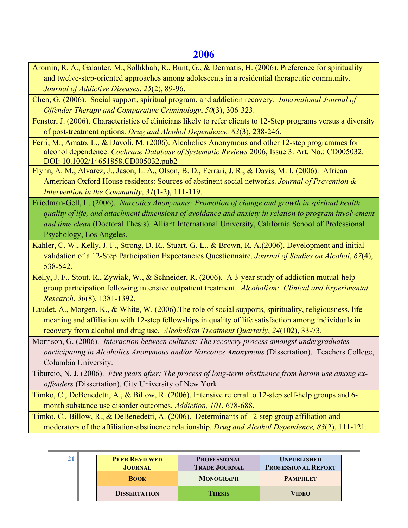- <span id="page-20-0"></span>Aromin, R. A., Galanter, M., Solhkhah, R., Bunt, G., & Dermatis, H. (2006). Preference for spirituality and twelve-step-oriented approaches among adolescents in a residential therapeutic community. *Journal of Addictive Diseases*, *25*(2), 89-96.
- Chen, G. (2006). Social support, spiritual program, and addiction recovery. *International Journal of Offender Therapy and Comparative Criminology*, *50*(3), 306-323.

Fenster, J. (2006). Characteristics of clinicians likely to refer clients to 12-Step programs versus a diversity of post-treatment options. *Drug and Alcohol Dependence, 83*(3), 238-246.

Ferri, M., Amato, L., & Davoli, M. (2006). Alcoholics Anonymous and other 12-step programmes for alcohol dependence. *Cochrane Database of Systematic Reviews* 2006, Issue 3. Art. No.: CD005032. DOI: 10.1002/14651858.CD005032.pub2

Flynn, A. M., Alvarez, J., Jason, L. A., Olson, B. D., Ferrari, J. R., & Davis, M. I. (2006). African American Oxford House residents: Sources of abstinent social networks. *Journal of Prevention & Intervention in the Community*, *31*(1-2), 111-119.

Friedman-Gell, L. (2006). *Narcotics Anonymous: Promotion of change and growth in spiritual health, quality of life, and attachment dimensions of avoidance and anxiety in relation to program involvement and time clean* (Doctoral Thesis). Alliant International University, California School of Professional Psychology, Los Angeles.

Kahler, C. W., Kelly, J. F., Strong, D. R., Stuart, G. L., & Brown, R. A.(2006). Development and initial validation of a 12-Step Participation Expectancies Questionnaire. *Journal of Studies on Alcohol*, *67*(4), 538-542.

Kelly, J. F., Stout, R., Zywiak, W., & Schneider, R. (2006). A 3-year study of addiction mutual-help group participation following intensive outpatient treatment. *Alcoholism: Clinical and Experimental Research*, *30*(8), 1381-1392.

Laudet, A., Morgen, K., & White, W. (2006). The role of social supports, spirituality, religiousness, life meaning and affiliation with 12-step fellowships in quality of life satisfaction among individuals in recovery from alcohol and drug use. *Alcoholism Treatment Quarterly*, *24*(102), 33-73.

Morrison, G. (2006). *Interaction between cultures: The recovery process amongst undergraduates participating in Alcoholics Anonymous and/or Narcotics Anonymous* (Dissertation). Teachers College, Columbia University.

Tiburcio, N. J. (2006). *Five years after: The process of long-term abstinence from heroin use among exoffenders* (Dissertation). City University of New York.

Timko, C., DeBenedetti, A., & Billow, R. (2006). Intensive referral to 12-step self-help groups and 6 month substance use disorder outcomes. *Addiction, 101*, 678-688.

Timko, C., Billow, R., & DeBenedetti, A. (2006). Determinants of 12-step group affiliation and moderators of the affiliation-abstinence relationship. *Drug and Alcohol Dependence, 83*(2), 111-121.

| 21 | <b>PEER REVIEWED</b><br><b>JOURNAL</b> | <b>PROFESSIONAL</b><br><b>TRADE JOURNAL</b> | <b>UNPUBLISHED</b><br><b>PROFESSIONAL REPORT</b> |
|----|----------------------------------------|---------------------------------------------|--------------------------------------------------|
|    | <b>BOOK</b>                            | <b>MONOGRAPH</b>                            | <b>PAMPHLET</b>                                  |
|    | <b>DISSERTATION</b>                    | <b>THESIS</b>                               | <b>VIDEO</b>                                     |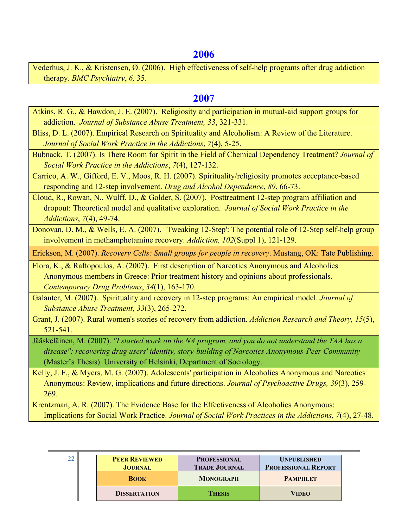<span id="page-21-0"></span>Vederhus, J. K., & Kristensen, Ø. (2006). High effectiveness of self-help programs after drug addiction therapy. *BMC Psychiatry*, *6,* 35.

### **[2007](#page-2-0)**

- Atkins, R. G., & Hawdon, J. E. (2007). Religiosity and participation in mutual-aid support groups for addiction. *Journal of Substance Abuse Treatment, 33*, 321-331.
- Bliss, D. L. (2007). Empirical Research on Spirituality and Alcoholism: A Review of the Literature. *Journal of Social Work Practice in the Addictions*, *7*(4), 5-25.
- Bubnack, T. (2007). Is There Room for Spirit in the Field of Chemical Dependency Treatment? *Journal of Social Work Practice in the Addictions*, *7*(4), 127-132.
- Carrico, A. W., Gifford, E. V., Moos, R. H. (2007). Spirituality/religiosity promotes acceptance-based responding and 12-step involvement. *Drug and Alcohol Dependence*, *89*, 66-73.

Cloud, R., Rowan, N., Wulff, D., & Golder, S. (2007). Posttreatment 12-step program affiliation and dropout: Theoretical model and qualitative exploration. *Journal of Social Work Practice in the Addictions*, *7*(4), 49-74.

Donovan, D. M., & Wells, E. A. (2007). 'Tweaking 12-Step': The potential role of 12-Step self-help group involvement in methamphetamine recovery. *Addiction, 102*(Suppl 1), 121-129.

Erickson, M. (2007). *Recovery Cells: Small groups for people in recovery*. Mustang, OK: Tate Publishing.

Flora, K., & Raftopoulos, A. (2007). First description of Narcotics Anonymous and Alcoholics Anonymous members in Greece: Prior treatment history and opinions about professionals. *Contemporary Drug Problems*, *34*(1), 163-170.

Galanter, M. (2007). Spirituality and recovery in 12-step programs: An empirical model. *Journal of Substance Abuse Treatment*, *33*(3), 265-272.

Grant, J. (2007). Rural women's stories of recovery from addiction. *Addiction Research and Theory, 15*(5), 521-541.

Jääskeläinen, M. (2007). *"I started work on the NA program, and you do not understand the TAA has a disease": recovering drug users' identity, story-building of Narcotics Anonymous-Peer Community* (Master's Thesis). University of Helsinki, Department of Sociology.

Kelly, J. F., & Myers, M. G. (2007). Adolescents' participation in Alcoholics Anonymous and Narcotics Anonymous: Review, implications and future directions. *Journal of Psychoactive Drugs, 39*(3), 259- 269.

Krentzman, A. R. (2007). The Evidence Base for the Effectiveness of Alcoholics Anonymous: Implications for Social Work Practice. *Journal of Social Work Practices in the Addictions*, *7*(4), 27-48.

| 22 | <b>PEER REVIEWED</b><br><b>JOURNAL</b> | <b>PROFESSIONAL</b><br><b>TRADE JOURNAL</b> | <b>UNPUBLISHED</b><br><b>PROFESSIONAL REPORT</b> |
|----|----------------------------------------|---------------------------------------------|--------------------------------------------------|
|    | <b>BOOK</b>                            | <b>MONOGRAPH</b>                            | <b>PAMPHLET</b>                                  |
|    | <b>DISSERTATION</b>                    | <b>THESIS</b>                               | <b>VIDEO</b>                                     |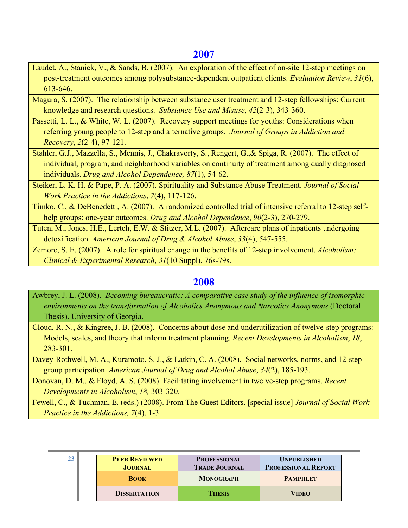<span id="page-22-0"></span>Laudet, A., Stanick, V., & Sands, B. (2007). An exploration of the effect of on-site 12-step meetings on post-treatment outcomes among polysubstance-dependent outpatient clients. *Evaluation Review*, *31*(6), 613-646.

Magura, S. (2007). The relationship between substance user treatment and 12-step fellowships: Current knowledge and research questions. *Substance Use and Misuse*, *42*(2-3), 343-360.

Passetti, L. L., & White, W. L. (2007). Recovery support meetings for youths: Considerations when referring young people to 12-step and alternative groups. *Journal of Groups in Addiction and Recovery*, *2*(2-4), 97-121.

Stahler, G.J., Mazzella, S., Mennis, J., Chakravorty, S., Rengert, G.,& Spiga, R. (2007). The effect of individual, program, and neighborhood variables on continuity of treatment among dually diagnosed individuals. *Drug and Alcohol Dependence, 87*(1), 54-62.

Steiker, L. K. H. & Pape, P. A. (2007). Spirituality and Substance Abuse Treatment. *Journal of Social Work Practice in the Addictions*, *7*(4), 117-126.

Timko, C., & DeBenedetti, A. (2007). A randomized controlled trial of intensive referral to 12-step selfhelp groups: one-year outcomes. *Drug and Alcohol Dependence*, *90*(2-3), 270-279.

Tuten, M., Jones, H.E., Lertch, E.W. & Stitzer, M.L. (2007). Aftercare plans of inpatients undergoing detoxification. *American Journal of Drug & Alcohol Abuse*, *33*(4), 547-555.

Zemore, S. E. (2007). A role for spiritual change in the benefits of 12-step involvement. *Alcoholism: Clinical & Experimental Research*, *31*(10 Suppl), 76s-79s.

### **[2008](#page-2-0)**

Awbrey, J. L. (2008). *Becoming bureaucratic: A comparative case study of the influence of isomorphic environments on the transformation of Alcoholics Anonymous and Narcotics Anonymous* (Doctoral Thesis). University of Georgia.

Cloud, R. N., & Kingree, J. B. (2008). Concerns about dose and underutilization of twelve-step programs: Models, scales, and theory that inform treatment planning. *Recent Developments in Alcoholism*, *18*, 283-301.

Davey-Rothwell, M. A., Kuramoto, S. J., & Latkin, C. A. (2008). Social networks, norms, and 12-step group participation. *American Journal of Drug and Alcohol Abuse*, *34*(2), 185-193.

Donovan, D. M., & Floyd, A. S. (2008). Facilitating involvement in twelve-step programs. *Recent Developments in Alcoholism*, *18,* 303-320.

Fewell, C., & Tuchman, E. (eds.) (2008). From The Guest Editors. [special issue] *Journal of Social Work Practice in the Addictions, 7*(4), 1-3.

| 23 | <b>PEER REVIEWED</b><br><b>JOURNAL</b> | <b>PROFESSIONAL</b><br><b>TRADE JOURNAL</b> | <b>UNPUBLISHED</b><br><b>PROFESSIONAL REPORT</b> |
|----|----------------------------------------|---------------------------------------------|--------------------------------------------------|
|    | <b>BOOK</b>                            | <b>MONOGRAPH</b>                            | <b>PAMPHLET</b>                                  |
|    | <b>DISSERTATION</b>                    | <b>THESIS</b>                               | <b>VIDEO</b>                                     |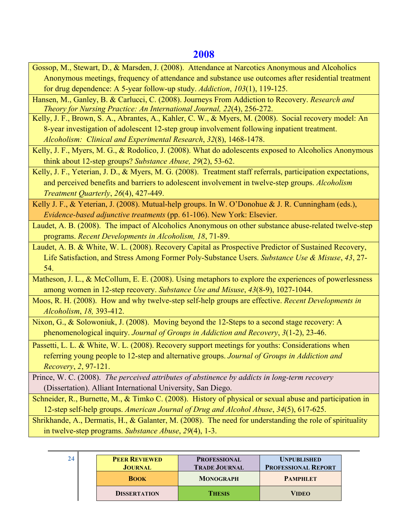Gossop, M., Stewart, D., & Marsden, J. (2008). Attendance at Narcotics Anonymous and Alcoholics Anonymous meetings, frequency of attendance and substance use outcomes after residential treatment for drug dependence: A 5-year follow-up study. *Addiction*, *103*(1), 119-125.

Hansen, M., Ganley, B. & Carlucci, C. (2008). Journeys From Addiction to Recovery. *Research and Theory for Nursing Practice: An International Journal, 22*(4), 256-272.

Kelly, J. F., Brown, S. A., Abrantes, A., Kahler, C. W., & Myers, M. (2008). Social recovery model: An 8-year investigation of adolescent 12-step group involvement following inpatient treatment. *Alcoholism: Clinical and Experimental Research*, *32*(8), 1468-1478.

Kelly, J. F., Myers, M. G., & Rodolico, J. (2008). What do adolescents exposed to Alcoholics Anonymous think about 12-step groups? *Substance Abuse, 29*(2), 53-62.

Kelly, J. F., Yeterian, J. D., & Myers, M. G. (2008). Treatment staff referrals, participation expectations, and perceived benefits and barriers to adolescent involvement in twelve-step groups. *Alcoholism Treatment Quarterly*, *26*(4), 427-449.

Kelly J. F., & Yeterian, J. (2008). Mutual-help groups. In W. O'Donohue & J. R. Cunningham (eds.), *Evidence-based adjunctive treatments* (pp. 61-106). New York: Elsevier.

Laudet, A. B. (2008). The impact of Alcoholics Anonymous on other substance abuse-related twelve-step programs. *Recent Developments in Alcoholism, 18*, 71-89.

Laudet, A. B. & White, W. L. (2008). Recovery Capital as Prospective Predictor of Sustained Recovery, Life Satisfaction, and Stress Among Former Poly-Substance Users. *Substance Use & Misuse*, *43*, 27- 54.

Matheson, J. L., & McCollum, E. E. (2008). Using metaphors to explore the experiences of powerlessness among women in 12-step recovery. *Substance Use and Misuse*, *43*(8-9), 1027-1044.

Moos, R. H. (2008). How and why twelve-step self-help groups are effective. *Recent Developments in Alcoholism*, *18,* 393-412.

Nixon, G., & Solowoniuk, J. (2008). Moving beyond the 12-Steps to a second stage recovery: A phenomenological inquiry. *Journal of Groups in Addiction and Recovery*, *3*(1-2), 23-46.

Passetti, L. L. & White, W. L. (2008). Recovery support meetings for youths: Considerations when referring young people to 12-step and alternative groups. *Journal of Groups in Addiction and Recovery*, *2*, 97-121.

Prince, W. C. (2008). *The perceived attributes of abstinence by addicts in long-term recovery*  (Dissertation). Alliant International University, San Diego.

Schneider, R., Burnette, M., & Timko C. (2008). History of physical or sexual abuse and participation in 12-step self-help groups. *American Journal of Drug and Alcohol Abuse*, *34*(5), 617-625.

Shrikhande, A., Dermatis, H., & Galanter, M. (2008). The need for understanding the role of spirituality in twelve-step programs. *Substance Abuse*, *29*(4), 1-3.

| -24 | <b>PEER REVIEWED</b><br><b>JOURNAL</b> | <b>PROFESSIONAL</b><br><b>TRADE JOURNAL</b> | <b>UNPUBLISHED</b><br><b>PROFESSIONAL REPORT</b> |
|-----|----------------------------------------|---------------------------------------------|--------------------------------------------------|
|     | <b>BOOK</b>                            | <b>MONOGRAPH</b>                            | <b>PAMPHLET</b>                                  |
|     | <b>DISSERTATION</b>                    | <b>THESIS</b>                               | <b>VIDEO</b>                                     |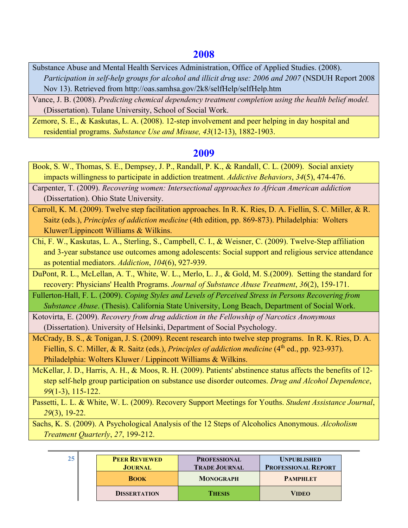<span id="page-24-0"></span>Substance Abuse and Mental Health Services Administration, Office of Applied Studies. (2008).

*Participation in self-help groups for alcohol and illicit drug use: 2006 and 2007* (NSDUH Report 2008 Nov 13). Retrieved from http://oas.samhsa.gov/2k8/selfHelp/selfHelp.htm

Vance, J. B. (2008). *Predicting chemical dependency treatment completion using the health belief model.* (Dissertation). Tulane University, School of Social Work.

Zemore, S. E., & Kaskutas, L. A. (2008). 12-step involvement and peer helping in day hospital and residential programs. *Substance Use and Misuse, 43*(12-13), 1882-1903.

#### **[2009](#page-2-0)**

Book, S. W., Thomas, S. E., Dempsey, J. P., Randall, P. K., & Randall, C. L. (2009). Social anxiety impacts willingness to participate in addiction treatment. *Addictive Behaviors*, *34*(5), 474-476.

Carpenter, T. (2009). *Recovering women: Intersectional approaches to African American addiction* (Dissertation). Ohio State University.

Carroll, K. M. (2009). Twelve step facilitation approaches. In R. K. Ries, D. A. Fiellin, S. C. Miller, & R. Saitz (eds.), *Principles of addiction medicine* (4th edition, pp. 869-873). Philadelphia: Wolters Kluwer/Lippincott Williams & Wilkins.

Chi, F. W., Kaskutas, L. A., Sterling, S., Campbell, C. I., & Weisner, C. (2009). Twelve-Step affiliation and 3-year substance use outcomes among adolescents: Social support and religious service attendance as potential mediators. *Addiction*, *104*(6), 927-939.

DuPont, R. L., McLellan, A. T., White, W. L., Merlo, L. J., & Gold, M. S.(2009). Setting the standard for recovery: Physicians' Health Programs. *Journal of Substance Abuse Treatment*, *36*(2), 159-171.

Fullerton-Hall, F. L. (2009). *Coping Styles and Levels of Perceived Stress in Persons Recovering from Substance Abuse*. (Thesis). California State University, Long Beach, Department of Social Work.

Kotovirta, E. (2009). *Recovery from drug addiction in the Fellowship of Narcotics Anonymous* (Dissertation). University of Helsinki, Department of Social Psychology.

McCrady, B. S., & Tonigan, J. S. (2009). Recent research into twelve step programs. In R. K. Ries, D. A. Fiellin, S. C. Miller, & R. Saitz (eds.), *Principles of addiction medicine* (4<sup>th</sup> ed., pp. 923-937). Philadelphia: Wolters Kluwer / Lippincott Williams & Wilkins.

McKellar, J. D., Harris, A. H., & Moos, R. H. (2009). Patients' abstinence status affects the benefits of 12 step self-help group participation on substance use disorder outcomes. *Drug and Alcohol Dependence*, *99*(1-3), 115-122.

Passetti, L. L. & White, W. L. (2009). Recovery Support Meetings for Youths. *Student Assistance Journal*, *29*(3), 19-22.

Sachs, K. S. (2009). A Psychological Analysis of the 12 Steps of Alcoholics Anonymous. *Alcoholism Treatment Quarterly*, *27*, 199-212.

| 25 | <b>PEER REVIEWED</b><br><b>JOURNAL</b> | <b>PROFESSIONAL</b><br><b>TRADE JOURNAL</b> | <b>UNPUBLISHED</b><br><b>PROFESSIONAL REPORT</b> |
|----|----------------------------------------|---------------------------------------------|--------------------------------------------------|
|    | <b>BOOK</b>                            | <b>MONOGRAPH</b>                            | <b>PAMPHLET</b>                                  |
|    | <b>DISSERTATION</b>                    | <b>THESIS</b>                               | <b>VIDEO</b>                                     |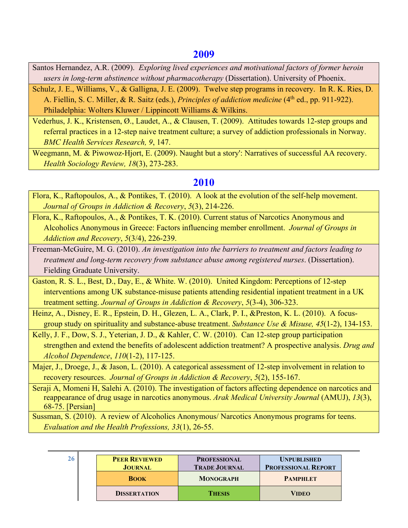<span id="page-25-0"></span>Santos Hernandez, A.R. (2009). *Exploring lived experiences and motivational factors of former heroin users in long-term abstinence without pharmacotherapy* (Dissertation). University of Phoenix.

Schulz, J. E., Williams, V., & Galligna, J. E. (2009). Twelve step programs in recovery. In R. K. Ries, D. A. Fiellin, S. C. Miller, & R. Saitz (eds.), *Principles of addiction medicine* (4<sup>th</sup> ed., pp. 911-922). Philadelphia: Wolters Kluwer / Lippincott Williams & Wilkins.

Vederhus, J. K., Kristensen, Ø., Laudet, A., & Clausen, T. (2009). Attitudes towards 12-step groups and referral practices in a 12-step naive treatment culture; a survey of addiction professionals in Norway. *BMC Health Services Research, 9*, 147.

Weegmann, M. & Piwowoz-Hjort, E. (2009). Naught but a story': Narratives of successful AA recovery. *Health Sociology Review, 18*(3), 273-283.

# **[2010](#page-2-0)**

Flora, K., Raftopoulos, A., & Pontikes, T. (2010). A look at the evolution of the self-help movement. *Journal of Groups in Addiction & Recovery*, *5*(3), 214-226.

Flora, K., Raftopoulos, A., & Pontikes, T. K. (2010). Current status of Narcotics Anonymous and Alcoholics Anonymous in Greece: Factors influencing member enrollment. *Journal of Groups in Addiction and Recovery*, *5*(3/4), 226-239.

Freeman-McGuire, M. G. (2010). *An investigation into the barriers to treatment and factors leading to treatment and long-term recovery from substance abuse among registered nurses*. (Dissertation). Fielding Graduate University.

Gaston, R. S. L., Best, D., Day, E., & White. W. (2010). United Kingdom: Perceptions of 12-step interventions among UK substance-misuse patients attending residential inpatient treatment in a UK treatment setting. *Journal of Groups in Addiction & Recovery*, *5*(3-4), 306-323.

Heinz, A., Disney, E. R., Epstein, D. H., Glezen, L. A., Clark, P. I., &Preston, K. L. (2010). A focusgroup study on spirituality and substance-abuse treatment. *Substance Use & Misuse, 45*(1-2), 134-153.

Kelly, J. F., Dow, S. J., Yeterian, J. D., & Kahler, C. W. (2010). Can 12-step group participation strengthen and extend the benefits of adolescent addiction treatment? A prospective analysis. *Drug and Alcohol Dependence*, *110*(1-2), 117-125.

Majer, J., Droege, J., & Jason, L. (2010). A categorical assessment of 12-step involvement in relation to recovery resources. *Journal of Groups in Addiction & Recovery*, *5*(2), 155-167.

Seraji A, Momeni H, Salehi A. (2010). The investigation of factors affecting dependence on narcotics and reappearance of drug usage in narcotics anonymous. *Arak Medical University Journal* (AMUJ), *13*(3), 68-75. [Persian]

Sussman, S. (2010). A review of Alcoholics Anonymous/ Narcotics Anonymous programs for teens. *Evaluation and the Health Professions, 33*(1), 26-55.

| -26 | <b>PEER REVIEWED</b><br><b>JOURNAL</b> | <b>PROFESSIONAL</b><br><b>TRADE JOURNAL</b> | <b>UNPUBLISHED</b><br><b>PROFESSIONAL REPORT</b> |
|-----|----------------------------------------|---------------------------------------------|--------------------------------------------------|
|     | <b>BOOK</b>                            | <b>MONOGRAPH</b>                            | <b>PAMPHLET</b>                                  |
|     | <b>DISSERTATION</b>                    | <b>THESIS</b>                               | <b>VIDEO</b>                                     |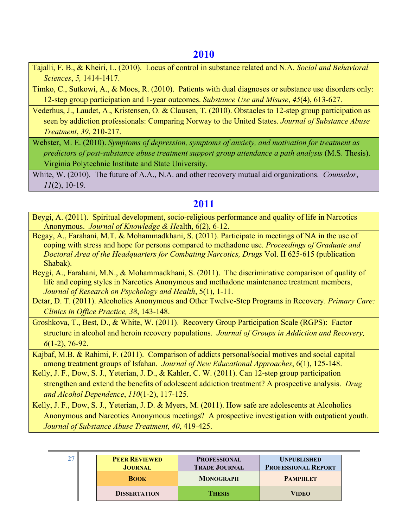<span id="page-26-0"></span>Tajalli, F. B., & Kheiri, L. (2010). Locus of control in substance related and N.A. *Social and Behavioral Sciences*, *5,* 1414-1417.

Timko, C., Sutkowi, A., & Moos, R. (2010). Patients with dual diagnoses or substance use disorders only: 12-step group participation and 1-year outcomes. *Substance Use and Misuse*, *45*(4), 613-627.

Vederhus, J., Laudet, A., Kristensen, O. & Clausen, T. (2010). Obstacles to 12-step group participation as seen by addiction professionals: Comparing Norway to the United States. *Journal of Substance Abuse Treatment*, *39*, 210-217.

Webster, M. E. (2010). *Symptoms of depression, symptoms of anxiety, and motivation for treatment as predictors of post-substance abuse treatment support group attendance a path analysis* (M.S. Thesis). Virginia Polytechnic Institute and State University.

White, W. (2010). The future of A.A., N.A. and other recovery mutual aid organizations. *Counselor*, *11*(2), 10-19.

### **[2011](#page-2-0)**

Beygi, A. (2011). Spiritual development, socio-religious performance and quality of life in Narcotics Anonymous. *Journal of Knowledge & He*alth, 6(2), 6-12.

Begay, A., Farahani, M.T. & Mohammadkhani, S. (2011). Participate in meetings of NA in the use of coping with stress and hope for persons compared to methadone use. *Proceedings of Graduate and Doctoral Area of the Headquarters for Combating Narcotics, Drugs* Vol. II 625-615 (publication Shabak).

Beygi, A., Farahani, M.N., & Mohammadkhani, S. (2011). The discriminative comparison of quality of life and coping styles in Narcotics Anonymous and methadone maintenance treatment members, *Journal of Research on Psychology and Health*, 5(1), 1-11.

Detar, D. T. (2011). Alcoholics Anonymous and Other Twelve-Step Programs in Recovery. *Primary Care: Clinics in Office Practice, 38*, 143-148.

Groshkova, T., Best, D., & White, W. (2011). Recovery Group Participation Scale (RGPS): Factor structure in alcohol and heroin recovery populations. *Journal of Groups in Addiction and Recovery, 6*(1-2), 76-92.

Kajbaf, M.B. & Rahimi, F. (2011). Comparison of addicts personal/social motives and social capital among treatment groups of Isfahan. *Journal of New Educational Approaches*, 6(1), 125-148.

Kelly, J. F., Dow, S. J., Yeterian, J. D., & Kahler, C. W. (2011). Can 12-step group participation strengthen and extend the benefits of adolescent addiction treatment? A prospective analysis. *Drug and Alcohol Dependence*, *110*(1-2), 117-125.

Kelly, J. F., Dow, S. J., Yeterian, J. D. & Myers, M. (2011). How safe are adolescents at Alcoholics Anonymous and Narcotics Anonymous meetings? A prospective investigation with outpatient youth. *Journal of Substance Abuse Treatment*, *40*, 419-425.

|  | <b>PEER REVIEWED</b><br><b>JOURNAL</b> | <b>PROFESSIONAL</b><br><b>TRADE JOURNAL</b> | <b>UNPUBLISHED</b><br><b>PROFESSIONAL REPORT</b> |
|--|----------------------------------------|---------------------------------------------|--------------------------------------------------|
|  | <b>BOOK</b>                            | <b>MONOGRAPH</b>                            | <b>PAMPHLET</b>                                  |
|  | <b>DISSERTATION</b>                    | <b>THESIS</b>                               | <b>VIDEO</b>                                     |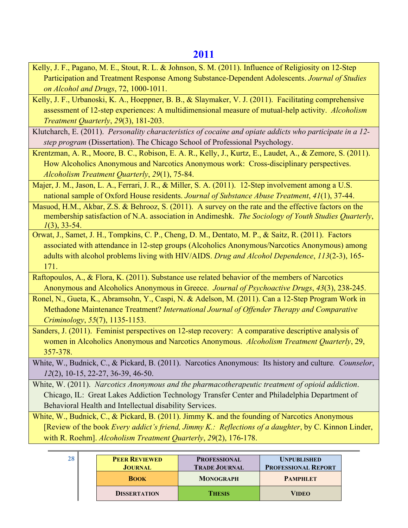- Kelly, J. F., Pagano, M. E., Stout, R. L. & Johnson, S. M. (2011). Influence of Religiosity on 12-Step Participation and Treatment Response Among Substance-Dependent Adolescents. *Journal of Studies on Alcohol and Drugs*, 72, 1000-1011.
- Kelly, J. F., Urbanoski, K. A., Hoeppner, B. B., & Slaymaker, V. J. (2011). Facilitating comprehensive assessment of 12-step experiences: A multidimensional measure of mutual-help activity. *Alcoholism Treatment Quarterly*, *29*(3), 181-203.
- Klutcharch, E. (2011). *Personality characteristics of cocaine and opiate addicts who participate in a 12 step program* (Dissertation). The Chicago School of Professional Psychology.
- Krentzman, A. R., Moore, B. C., Robison, E. A. R., Kelly, J., Kurtz, E., Laudet, A., & Zemore, S. (2011). How Alcoholics Anonymous and Narcotics Anonymous work: Cross-disciplinary perspectives. *Alcoholism Treatment Quarterly*, *29*(1), 75-84.
- Majer, J. M., Jason, L. A., Ferrari, J. R., & Miller, S. A. (2011). 12-Step involvement among a U.S. national sample of Oxford House residents. *Journal of Substance Abuse Treatment*, *41*(1), 37-44.
- Masuod, H.M., Akbar, Z.S. & Behrooz, S. (2011). A survey on the rate and the effective factors on the membership satisfaction of N.A. association in Andimeshk. *The Sociology of Youth Studies Quarterly*, *1*(3), 33-54.
- Orwat, J., Samet, J. H., Tompkins, C. P., Cheng, D. M., Dentato, M. P., & Saitz, R. (2011). Factors associated with attendance in 12-step groups (Alcoholics Anonymous/Narcotics Anonymous) among adults with alcohol problems living with HIV/AIDS. *Drug and Alcohol Dependence*, *113*(2-3), 165- 171.
- Raftopoulos, A., & Flora, K. (2011). Substance use related behavior of the members of Narcotics Anonymous and Alcoholics Anonymous in Greece. *Journal of Psychoactive Drugs*, *43*(3), 238-245.
- Ronel, N., Gueta, K., Abramsohn, Y., Caspi, N. & Adelson, M. (2011). Can a 12-Step Program Work in Methadone Maintenance Treatment? *International Journal of Offender Therapy and Comparative Criminology*, *55*(7), 1135-1153.
- Sanders, J. (2011). Feminist perspectives on 12-step recovery: A comparative descriptive analysis of women in Alcoholics Anonymous and Narcotics Anonymous. *Alcoholism Treatment Quarterly*, 29, 357-378.
- White, W., Budnick, C., & Pickard, B. (2011). Narcotics Anonymous: Its history and culture*. Counselor*, *12*(2), 10-15, 22-27, 36-39, 46-50.
- White, W. (2011). *Narcotics Anonymous and the pharmacotherapeutic treatment of opioid addiction*. Chicago, IL: Great Lakes Addiction Technology Transfer Center and Philadelphia Department of Behavioral Health and Intellectual disability Services.
- White, W., Budnick, C., & Pickard, B. (2011). Jimmy K. and the founding of Narcotics Anonymous [Review of the book *Every addict's friend, Jimmy K.: Reflections of a daughter*, by C. Kinnon Linder, with R. Roehm]. *Alcoholism Treatment Quarterly*, *29*(2), 176-178.

| 28 | <b>PEER REVIEWED</b><br><b>JOURNAL</b> | <b>PROFESSIONAL</b><br><b>TRADE JOURNAL</b> | <b>UNPUBLISHED</b><br><b>PROFESSIONAL REPORT</b> |
|----|----------------------------------------|---------------------------------------------|--------------------------------------------------|
|    | <b>BOOK</b>                            | <b>MONOGRAPH</b>                            | <b>PAMPHLET</b>                                  |
|    | <b>DISSERTATION</b>                    | <b>THESIS</b>                               | <b>VIDEO</b>                                     |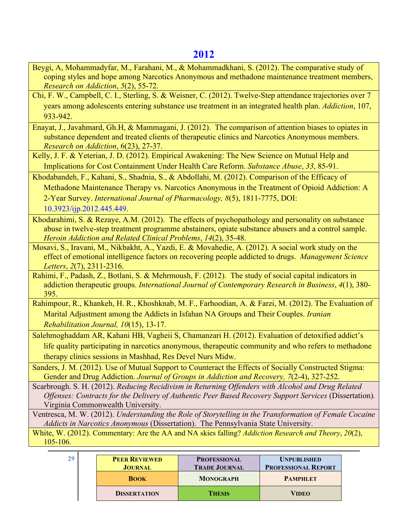<span id="page-28-0"></span>Beygi, A, Mohammadyfar, M., Farahani, M., & Mohammadkhani, S. (2012). The comparative study of coping styles and hope among Narcotics Anonymous and methadone maintenance treatment members, *Research on Addiction*, *5*(2), 55-72.

Chi, F. W., Campbell, C. I., Sterling, S. & Weisner, C. (2012). Twelve-Step attendance trajectories over 7 years among adolescents entering substance use treatment in an integrated health plan. *Addiction*, 107, 933-942.

Enayat, J., Javahmard, Gh.H, & Mammagani, J. (2012). The comparison of attention biases to opiates in substance dependent and treated clients of therapeutic clinics and Narcotics Anonymous members. *Research on Addiction*, 6(23), 27-37.

Kelly, J. F. & Yeterian, J. D. (2012). Empirical Awakening: The New Science on Mutual Help and Implications for Cost Containment Under Health Care Reform. *Substance Abuse*, *33*, 85-91.

Khodabandeh, F., Kahani, S., Shadnia, S., & Abdollahi, M. (2012). Comparison of the Efficacy of Methadone Maintenance Therapy vs. Narcotics Anonymous in the Treatment of Opioid Addiction: A 2-Year Survey. *International Journal of Pharmacology, 8*(5), 1811-7775, DOI: 10.3923/ijp.2012.445.449.

- Khodarahimi, S. & Rezaye, A.M. (2012). The effects of psychopathology and personality on substance abuse in twelve-step treatment programme abstainers, opiate substance abusers and a control sample. *Heroin Addiction and Related Clinical Problems*, *14*(2), 35-48.
- Mosavi, S., Iravani, M., Nikbakht, A., Yazdi, E. & Movahedie, A. (2012). A social work study on the effect of emotional intelligence factors on recovering people addicted to drugs. *Management Science Letters*, *2*(7), 2311-2316.

Rahimi, F., Padash, Z., Botlani, S. & Mehrmoush, F. (2012). The study of social capital indicators in addiction therapeutic groups. *International Journal of Contemporary Research in Business*, *4*(1), 380- 395.

Rahimpour, R., Khankeh, H. R., Khoshknab, M. F., Farhoodian, A. & Farzi, M. (2012). The Evaluation of Marital Adjustment among the Addicts in Isfahan NA Groups and Their Couples. *Iranian Rehabilitation Journal, 10*(15), 13-17.

Salehmoghaddam AR, Kahani HB, Vagheii S, Chamanzari H. (2012). Evaluation of detoxified addict's life quality participating in narcotics anonymous, therapeutic community and who refers to methadone therapy clinics sessions in Mashhad, Res Devel Nurs Midw.

Sanders, J. M. (2012). Use of Mutual Support to Counteract the Effects of Socially Constructed Stigma: Gender and Drug Addiction. *Journal of Groups in Addiction and Recovery, 7*(2-4), 327-252.

Scarbrough. S. H. (2012). *Reducing Recidivism in Returning Offenders with Alcohol and Drug Related Offenses: Contracts for the Delivery of Authentic Peer Based Recovery Support Services (Dissertation).* Virginia Commonwealth University.

Ventresca, M. W. (2012). *Understanding the Role of Storytelling in the Transformation of Female Cocaine Addicts in Narcotics Anonymous* (Dissertation). The Pennsylvania State University.

White, W. (2012). Commentary: Are the AA and NA skies falling? *Addiction Research and Theory*, *20*(2), 105-106.

| 29 | <b>PEER REVIEWED</b><br><b>JOURNAL</b> | <b>PROFESSIONAL</b><br><b>TRADE JOURNAL</b> | <b>UNPUBLISHED</b><br><b>PROFESSIONAL REPORT</b> |
|----|----------------------------------------|---------------------------------------------|--------------------------------------------------|
|    | <b>BOOK</b>                            | <b>MONOGRAPH</b>                            | <b>PAMPHLET</b>                                  |
|    | <b>DISSERTATION</b>                    | <b>THESIS</b>                               | <b>VIDEO</b>                                     |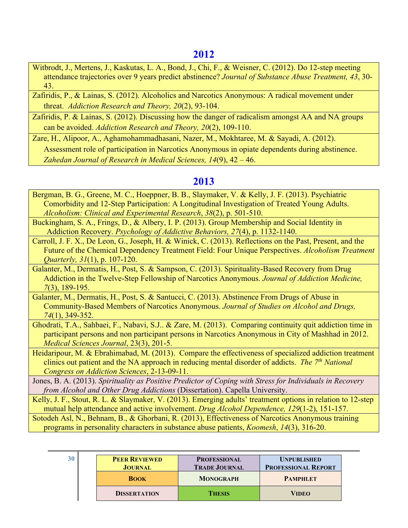<span id="page-29-0"></span>Witbrodt, J., Mertens, J., Kaskutas, L. A., Bond, J., Chi, F., & Weisner, C. (2012). Do 12-step meeting attendance trajectories over 9 years predict abstinence? *Journal of Substance Abuse Treatment, 43*, 30- 43.

Zafiridis, P., & Lainas, S. (2012). Alcoholics and Narcotics Anonymous: A radical movement under threat. *Addiction Research and Theory, 20*(2), 93-104.

Zafiridis, P. & Lainas, S. (2012). Discussing how the danger of radicalism amongst AA and NA groups can be avoided. *Addiction Research and Theory, 20*(2), 109-110.

Zare, H., Alipoor, A., Aghamohammadhasani, Nazer, M., Mokhtaree, M. & Sayadi, A. (2012). Assessment role of participation in Narcotics Anonymous in opiate dependents during abstinence. *Zahedan Journal of Research in Medical Sciences, 14*(9), 42 – 46.

# **[2013](#page-2-0)**

- Bergman, B. G., Greene, M. C., Hoeppner, B. B., Slaymaker, V. & Kelly, J. F. (2013). Psychiatric Comorbidity and 12-Step Participation: A Longitudinal Investigation of Treated Young Adults. *Alcoholism: Clinical and Experimental Research*, *38*(2), p. 501-510.
- Buckingham, S. A., Frings, D., & Albery, I. P. (2013). Group Membership and Social Identity in Addiction Recovery. *Psychology of Addictive Behaviors, 27*(4), p. 1132-1140.
- Carroll, J. F. X., De Leon, G., Joseph, H. & Winick, C. (2013). Reflections on the Past, Present, and the Future of the Chemical Dependency Treatment Field: Four Unique Perspectives. *Alcoholism Treatment Quarterly, 31*(1), p. 107-120.
- Galanter, M., Dermatis, H., Post, S. & Sampson, C. (2013). Spirituality-Based Recovery from Drug Addiction in the Twelve-Step Fellowship of Narcotics Anonymous. *Journal of Addiction Medicine, 7*(3), 189-195.
- Galanter, M., Dermatis, H., Post, S. & Santucci, C. (2013). Abstinence From Drugs of Abuse in Community-Based Members of Narcotics Anonymous. *Journal of Studies on Alcohol and Drugs, 74*(1), 349-352.
- Ghodrati, T.A., Sahbaei, F., Nabavi, S.J.. & Zare, M. (2013). Comparing continuity quit addiction time in participant persons and non participant persons in Narcotics Anonymous in City of Mashhad in 2012. *Medical Sciences Journal*, 23(3), 201-5.

Heidaripour, M. & Ebrahimabad, M. (2013). Compare the effectiveness of specialized addiction treatment clinics out patient and the NA approach in reducing mental disorder of addicts. *The 7<sup>th</sup> National Congress on Addiction Sciences*, 2-13-09-11.

Jones, B. A. (2013). *Spirituality as Positive Predictor of Coping with Stress for Individuals in Recovery from Alcohol and Other Drug Addictions* (Dissertation). Capella University.

Kelly, J. F., Stout, R. L. & Slaymaker, V. (2013). Emerging adults' treatment options in relation to 12-step mutual help attendance and active involvement. *Drug Alcohol Dependence, 129*(1-2), 151-157.

Sotodeh Asl, N., Behnam, B., & Ghorbani, R. (2013), Effectiveness of Narcotics Anonymous training programs in personality characters in substance abuse patients, *Koomesh*, *14*(3), 316-20.

|  | <b>PEER REVIEWED</b><br><b>JOURNAL</b> | <b>PROFESSIONAL</b><br><b>TRADE JOURNAL</b> | <b>UNPUBLISHED</b><br><b>PROFESSIONAL REPORT</b> |
|--|----------------------------------------|---------------------------------------------|--------------------------------------------------|
|  | <b>BOOK</b>                            | <b>MONOGRAPH</b>                            | <b>PAMPHLET</b>                                  |
|  | <b>DISSERTATION</b>                    | <b>THESIS</b>                               | <b>VIDEO</b>                                     |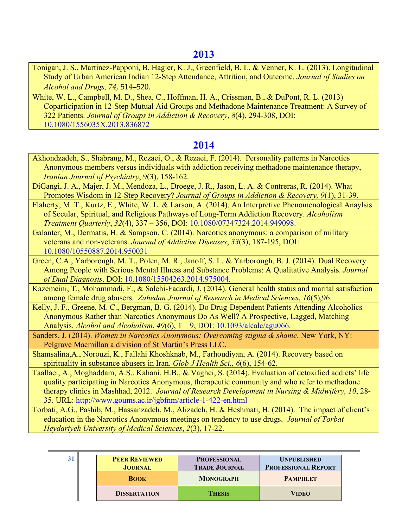<span id="page-30-0"></span>Tonigan, J. S., Martinez-Papponi, B. Hagler, K. J., Greenfield, B. L. & Venner, K. L. (2013). Longitudinal Study of Urban American Indian 12-Step Attendance, Attrition, and Outcome. *Journal of Studies on Alcohol and Drugs, 74,* 514–520.

White, W. L., Campbell, M. D., Shea, C., Hoffman, H. A., Crissman, B., & DuPont, R. L. (2013) Coparticipation in 12-Step Mutual Aid Groups and Methadone Maintenance Treatment: A Survey of 322 Patients. *Journal of Groups in Addiction & Recovery*, *8*(4), 294-308, DOI: 10.1080/1556035X.2013.836872

### **[2014](#page-2-0)**

- Akhondzadeh, S., Shabrang, M., Rezaei, O., & Rezaei, F. (2014). Personality patterns in Narcotics Anonymous members versus individuals with addiction receiving methadone maintenance therapy, *Iranian Journal of Psychiatry*, 9(3), 158-162.
- DiGangi, J. A., Majer, J. M., Mendoza, L., Droege, J. R., Jason, L. A. & Contreras, R. (2014). What Promotes Wisdom in 12-Step Recovery? *Journal of Groups in Addiction & Recovery, 9*(1), 31-39.
- Flaherty, M. T., Kurtz, E., White, W. L. & Larson, A. (2014). An Interpretive Phenomenological Anaylsis of Secular, Spiritual, and Religious Pathways of Long-Term Addiction Recovery. *Alcoholism Treatment Quarterly*, *32*(4), 337 – 356, DOI: 10.1080/07347324.2014.949098.
- Galanter, M., Dermatis, H. & Sampson, C. (2014). Narcotics anonymous: a comparison of military veterans and non-veterans. *Journal of Addictive Diseases*, *33*(3), 187-195, DOI: 10.1080/10550887.2014.950031
- Green, C.A., Yarborough, M. T., Polen, M. R., Janoff, S. L. & Yarborough, B. J. (2014). Dual Recovery Among People with Serious Mental Illness and Substance Problems: A Qualitative Analysis. *Journal of Dual Diagnosis*. DOI: 10.1080/15504263.2014.975004.
- Kazemeini, T., Mohammadi, F., & Salehi-Fadardi, J. (2014). General health status and marital satisfaction among female drug abusers. *Zahedan Journal of Research in Medical Sciences*, *16*(5),96.
- Kelly, J. F., Greene, M. C., Bergman, B. G. (2014). Do Drug-Dependent Patients Attending Alcoholics Anonymous Rather than Narcotics Anonymous Do As Well? A Prospective, Lagged, Matching Analysis. *Alcohol and Alcoholism*, *49*(6), 1 – 9, DOI: 10.1093/alcalc/agu066.
- Sanders, J. (2014). *Women in Narcotics Anonymous: Overcoming stigma & shame*. New York, NY: Pelgrave Macmillan a division of St Martin's Press LLC.
- Shamsalina,A., Norouzi, K., Fallahi Khoshknab, M., Farhoudiyan, A. (2014). Recovery based on spirituality in substance abusers in Iran. *Glob J Health Sci., 6*(6), 154-62.
- Taallaei, A., Moghaddam, A.S., Kahani, H.B., & Vaghei, S. (2014). Evaluation of detoxified addicts' life quality participating in Narcotics Anonymous, therapeutic community and who refer to methadone therapy clinics in Mashhad, 2012. *Journal of Research Development in Nursing & Midwifery, 10*, 28- 35. URL:<http://www.goums.ac.ir/jgbfnm/article-1-422-en.html>
- Torbati, A.G., Pashib, M., Hassanzadeh, M., Alizadeh, H. & Heshmati, H. (2014). The impact of client's education in the Narcotics Anonymous meetings on tendency to use drugs. *Journal of Torbat Heydariyeh University of Medical Sciences*, *2*(3), 17-22.

| -31 | <b>PEER REVIEWED</b><br><b>JOURNAL</b> | <b>PROFESSIONAL</b><br><b>TRADE JOURNAL</b> | <b>UNPUBLISHED</b><br><b>PROFESSIONAL REPORT</b> |
|-----|----------------------------------------|---------------------------------------------|--------------------------------------------------|
|     | <b>BOOK</b>                            | <b>MONOGRAPH</b>                            | <b>PAMPHLET</b>                                  |
|     | <b>DISSERTATION</b>                    | <b>THESIS</b>                               | <b>VIDEO</b>                                     |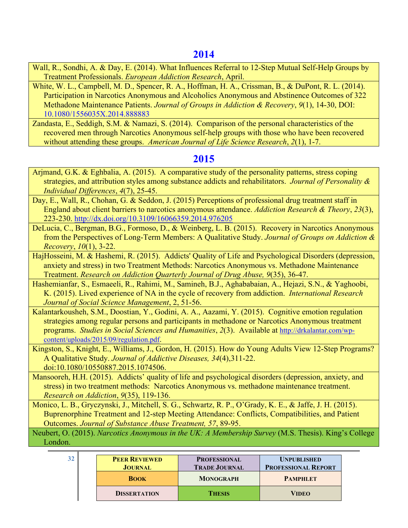- <span id="page-31-0"></span>Wall, R., Sondhi, A. & Day, E. (2014). What Influences Referral to 12-Step Mutual Self-Help Groups by Treatment Professionals. *European Addiction Research*, April.
- White, W. L., Campbell, M. D., Spencer, R. A., Hoffman, H. A., Crissman, B., & DuPont, R. L. (2014). Participation in Narcotics Anonymous and Alcoholics Anonymous and Abstinence Outcomes of 322 Methadone Maintenance Patients. *Journal of Groups in Addiction & Recovery*, *9*(1), 14-30, DOI: 10.1080/1556035X.2014.888883
- Zandasta, E., Seddigh, S.M. & Namazi, S. (2014). Comparison of the personal characteristics of the recovered men through Narcotics Anonymous self-help groups with those who have been recovered without attending these groups. *American Journal of Life Science Research*, *2*(1), 1-7.

# **[2015](#page-2-0)**

- Arjmand, G.K. & Eghbalia, A. (2015). A comparative study of the personality patterns, stress coping strategies, and attribution styles among substance addicts and rehabilitators. *Journal of Personality & Individual Differences*, *4*(7), 25-45.
- Day, E., Wall, R., Chohan, G. & Seddon, J. (2015) Perceptions of professional drug treatment staff in England about client barriers to narcotics anonymous attendance. *Addiction Research & Theory*, *23*(3), 223-230.<http://dx.doi.org/10.3109/16066359.2014.976205>
- DeLucia, C., Bergman, B.G., Formoso, D., & Weinberg, L. B. (2015). Recovery in Narcotics Anonymous from the Perspectives of Long-Term Members: A Qualitative Study. *Journal of Groups on Addiction & Recovery*, *10*(1), 3-22.
- HajHosseini, M. & Hashemi, R. (2015). Addicts' Quality of Life and Psychological Disorders (depression, anxiety and stress) in two Treatment Methods: Narcotics Anonymous vs. Methadone Maintenance Treatment. *Research on Addiction Quarterly Journal of Drug Abuse, 9*(35), 36-47.
- Hashemianfar, S., Esmaeeli, R., Rahimi, M., Samineh, B.J., Aghababaian, A., Hejazi, S.N., & Yaghoobi, K. (2015). Lived experience of NA in the cycle of recovery from addiction. *International Research Journal of Social Science Management*, 2, 51-56.
- Kalantarkousheh, S.M., Doostian, Y., Godini, A. A., Aazami, Y. (2015). Cognitive emotion regulation strategies among regular persons and participants in methadone or Narcotics Anonymous treatment programs. *Studies in Social Sciences and Humanities*, *2*(3). Available at [http://drkalantar.com/wp](http://drkalantar.com/wp-content/uploads/2015/09/regulation.pdf)[content/uploads/2015/09/regulation.pdf.](http://drkalantar.com/wp-content/uploads/2015/09/regulation.pdf)
- Kingston, S., Knight, E., Williams, J., Gordon, H. (2015). How do Young Adults View 12-Step Programs? A Qualitative Study. *Journal of Addictive Diseases, 34*(4),311-22. doi:10.1080/10550887.2015.1074506.
- Mansooreh, H.H. (2015). Addicts' quality of life and psychological disorders (depression, anxiety, and stress) in two treatment methods: Narcotics Anonymous vs. methadone maintenance treatment. *Research on Addiction*, *9*(35), 119-136.
- Monico, L. B., Gryczynski, J., Mitchell, S. G., Schwartz, R. P., O'Grady, K. E., & Jaffe, J. H. (2015). Buprenorphine Treatment and 12-step Meeting Attendance: Conflicts, Compatibilities, and Patient Outcomes. *Journal of Substance Abuse Treatment, 57*, 89-95.

Neubert, O. (2015). *Narcotics Anonymous in the UK: A Membership Survey* (M.S. Thesis). King's College London.

| 32 | <b>PEER REVIEWED</b><br><b>JOURNAL</b> | <b>PROFESSIONAL</b><br><b>TRADE JOURNAL</b> | <b>UNPUBLISHED</b><br><b>PROFESSIONAL REPORT</b> |
|----|----------------------------------------|---------------------------------------------|--------------------------------------------------|
|    | <b>BOOK</b>                            | <b>MONOGRAPH</b>                            | <b>PAMPHLET</b>                                  |
|    | <b>DISSERTATION</b>                    | <b>THESIS</b>                               | <b>VIDEO</b>                                     |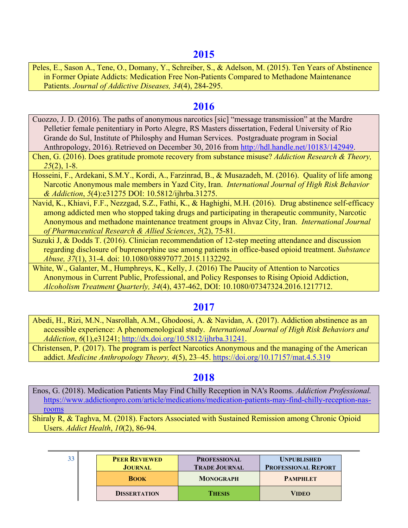<span id="page-32-0"></span>Peles, E., Sason A., Tene, O., Domany, Y., Schreiber, S., & Adelson, M. (2015). Ten Years of Abstinence in Former Opiate Addicts: Medication Free Non-Patients Compared to Methadone Maintenance Patients. *Journal of Addictive Diseases, 34*(4), 284-295.

### **[2016](#page-2-0)**

Cuozzo, J. D. (2016). The paths of anonymous narcotics [sic] "message transmission" at the Mardre Pelletier female penitentiary in Porto Alegre, RS Masters dissertation, Federal University of Rio Grande do Sul, Institute of Philosphy and Human Services. Postgraduate program in Social Anthropology, 2016). Retrieved on December 30, 2016 from [http://hdl.handle.net/10183/142949.](http://hdl.handle.net/10183/142949)

Chen, G. (2016). Does gratitude promote recovery from substance misuse? *Addiction Research & Theory, 25*(2), 1-8.

- Hosseini, F., Ardekani, S.M.Y., Kordi, A., Farzinrad, B., & Musazadeh, M. (2016). Quality of life among Narcotic Anonymous male members in Yazd City, Iran. *International Journal of High Risk Behavior & Addiction*, *5*(4):e31275 DOI: 10.5812/ijhrba.31275.
- Navid, K., Khiavi, F.F., Nezzgad, S.Z., Fathi, K., & Haghighi, M.H. (2016). Drug abstinence self-efficacy among addicted men who stopped taking drugs and participating in therapeutic community, Narcotic Anonymous and methadone maintenance treatment groups in Ahvaz City, Iran. *International Journal of Pharmaceutical Research & Allied Sciences*, *5*(2), 75-81.
- Suzuki J, & Dodds T. (2016). Clinician recommendation of 12-step meeting attendance and discussion regarding disclosure of buprenorphine use among patients in office-based opioid treatment. *Substance Abuse, 37*(1), 31-4. doi: 10.1080/08897077.2015.1132292.

White, W., Galanter, M., Humphreys, K., Kelly, J. (2016) The Paucity of Attention to Narcotics Anonymous in Current Public, Professional, and Policy Responses to Rising Opioid Addiction, *Alcoholism Treatment Quarterly, 34*(4), 437-462, DOI: 10.1080/07347324.2016.1217712.

# **[2017](#page-2-0)**

Abedi, H., Rizi, M.N., Nasrollah, A.M., Ghodoosi, A. & Navidan, A. (2017). Addiction abstinence as an accessible experience: A phenomenological study. *International Journal of High Risk Behaviors and Addiction*, *6*(1),e31241; [http://dx.doi.org/10.5812/ijhrba.31241.](http://dx.doi.org/10.5812/ijhrba.31241)

Christensen, P. (2017). The program is perfect Narcotics Anonymous and the managing of the American addict. *Medicine Anthropology Theory, 4*(5), 23–45.<https://doi.org/10.17157/mat.4.5.319>

# **[2018](#page-2-0)**

Enos, G. (2018). Medication Patients May Find Chilly Reception in NA's Rooms. *Addiction Professional.*  [https://www.addictionpro.com/article/medications/medication-patients-may-find-chilly-reception-nas](https://www.addictionpro.com/article/medications/medication-patients-may-find-chilly-reception-nas-rooms)[rooms](https://www.addictionpro.com/article/medications/medication-patients-may-find-chilly-reception-nas-rooms)

Shiraly R, & Taghva, M. (2018). Factors Associated with Sustained Remission among Chronic Opioid Users. *Addict Health*, *10*(2), 86-94.

| ×<br>ņ.<br>P.        |  |
|----------------------|--|
| ł<br>۰.<br>. .<br>__ |  |

| 33 | <b>PEER REVIEWED</b><br><b>JOURNAL</b> | <b>PROFESSIONAL</b><br><b>TRADE JOURNAL</b> | <b>UNPUBLISHED</b><br><b>PROFESSIONAL REPORT</b> |
|----|----------------------------------------|---------------------------------------------|--------------------------------------------------|
|    | <b>BOOK</b>                            | <b>MONOGRAPH</b>                            | <b>PAMPHLET</b>                                  |
|    | <b>DISSERTATION</b>                    | <b>THESIS</b>                               | <b>VIDEO</b>                                     |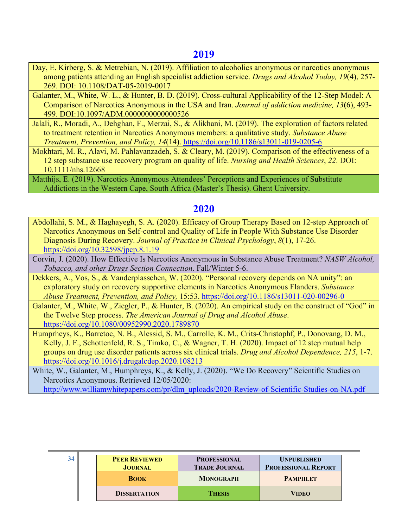- <span id="page-33-0"></span>Day, E. Kirberg, S. & Metrebian, N. (2019). Affiliation to alcoholics anonymous or narcotics anonymous among patients attending an English specialist addiction service. *Drugs and Alcohol Today, 19*(4), 257- 269. DOI: 10.1108/DAT-05-2019-0017
- Galanter, M., White, W. L., & Hunter, B. D. (2019). Cross-cultural Applicability of the 12-Step Model: A Comparison of Narcotics Anonymous in the USA and Iran. *Journal of addiction medicine, 13***(**6), 493- 499. DOI:10.1097/ADM.0000000000000526
- Jalali, R., Moradi, A., Dehghan, F., Merzai, S., & Alikhani, M. (2019). The exploration of factors related to treatment retention in Narcotics Anonymous members: a qualitative study. *Substance Abuse Treatment, Prevention, and Policy, 14*(14).<https://doi.org/10.1186/s13011-019-0205-6>
- Mokhtari, M. R., Alavi, M. Pahlavanzadeh, S. & Cleary, M. (2019). Comparison of the effectiveness of a 12 step substance use recovery program on quality of life. *Nursing and Health Sciences*, *22*. DOI: 10.1111/nhs.12668

Matthijs, E. (2019). Narcotics Anonymous Attendees' Perceptions and Experiences of Substitute Addictions in the Western Cape, South Africa (Master's Thesis). Ghent University.

# **[2020](#page-2-0)**

Abdollahi, S. M., & Haghayegh, S. A. (2020). Efficacy of Group Therapy Based on 12-step Approach of Narcotics Anonymous on Self-control and Quality of Life in People With Substance Use Disorder Diagnosis During Recovery. *Journal of Practice in Clinical Psychology*, *8*(1), 17-26. <https://doi.org/10.32598/jpcp.8.1.19>

Corvin, J. (2020). How Effective Is Narcotics Anonymous in Substance Abuse Treatment? *NASW Alcohol, Tobacco, and other Drugs Section Connection*. Fall/Winter 5-6.

- Dekkers, A., Vos, S., & Vanderplasschen, W. (2020). "Personal recovery depends on NA unity": an exploratory study on recovery supportive elements in Narcotics Anonymous Flanders. *Substance Abuse Treatment, Prevention, and Policy,* 15:53.<https://doi.org/10.1186/s13011-020-00296-0>
- Galanter, M., White, W., Ziegler, P., & Hunter, B. (2020). An empirical study on the construct of "God" in the Twelve Step process. *The American Journal of Drug and Alcohol Abuse*. <https://doi.org/10.1080/00952990.2020.1789870>
- Humprheys, K., Barretoc, N. B., Alessid, S. M., Carrolle, K. M., Crits-Christophf, P., Donovang, D. M., Kelly, J. F., Schottenfeld, R. S., Timko, C., & Wagner, T. H. (2020). Impact of 12 step mutual help groups on drug use disorder patients across six clinical trials. *Drug and Alcohol Dependence, 215*, 1-7. <https://doi.org/10.1016/j.drugalcdep.2020.108213>

White, W., Galanter, M., Humphreys, K., & Kelly, J. (2020). "We Do Recovery" Scientific Studies on Narcotics Anonymous. Retrieved 12/05/2020: [http://www.williamwhitepapers.com/pr/dlm\\_uploads/2020-Review-of-Scientific-Studies-on-NA.pdf](http://www.williamwhitepapers.com/pr/dlm_uploads/2020-Review-of-Scientific-Studies-on-NA.pdf)

| 34 | <b>PEER REVIEWED</b><br><b>JOURNAL</b> | <b>PROFESSIONAL</b><br><b>TRADE JOURNAL</b> | <b>UNPUBLISHED</b><br><b>PROFESSIONAL REPORT</b> |
|----|----------------------------------------|---------------------------------------------|--------------------------------------------------|
|    | <b>BOOK</b>                            | <b>MONOGRAPH</b>                            | <b>PAMPHLET</b>                                  |
|    | <b>DISSERTATION</b>                    | <b>THESIS</b>                               | <b>VIDEO</b>                                     |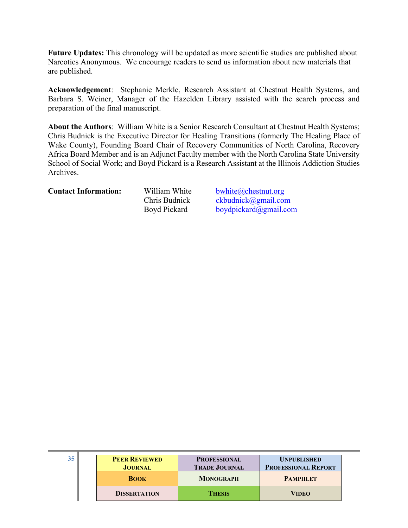**Future Updates:** This chronology will be updated as more scientific studies are published about Narcotics Anonymous. We encourage readers to send us information about new materials that are published.

**Acknowledgement**: Stephanie Merkle, Research Assistant at Chestnut Health Systems, and Barbara S. Weiner, Manager of the Hazelden Library assisted with the search process and preparation of the final manuscript.

**About the Authors**: William White is a Senior Research Consultant at Chestnut Health Systems; Chris Budnick is the Executive Director for Healing Transitions (formerly The Healing Place of Wake County), Founding Board Chair of Recovery Communities of North Carolina, Recovery Africa Board Member and is an Adjunct Faculty member with the North Carolina State University School of Social Work; and Boyd Pickard is a Research Assistant at the Illinois Addiction Studies Archives.

#### **Contact Information:** William White [bwhite@chestnut.org](mailto:bwhite@chestnut.org)

Chris Budnick [ckbudnick@gmail.com](mailto:cbudnick@healing-transitions.org) Boyd Pickard [boydpickard@gmail.com](mailto:boydpickard@gmail.com)

| 35 | <b>PEER REVIEWED</b><br><b>JOURNAL</b> | <b>PROFESSIONAL</b><br><b>TRADE JOURNAL</b> | <b>UNPUBLISHED</b><br><b>PROFESSIONAL REPORT</b> |
|----|----------------------------------------|---------------------------------------------|--------------------------------------------------|
|    | <b>BOOK</b>                            | <b>MONOGRAPH</b>                            | <b>PAMPHLET</b>                                  |
|    | <b>DISSERTATION</b>                    | <b>THESIS</b>                               | <b>VIDEO</b>                                     |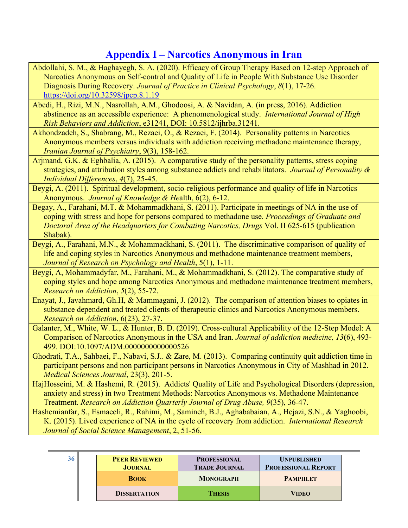# **Appendix I – [Narcotics Anonymous in Iran](#page-2-0)**

- <span id="page-35-0"></span>Abdollahi, S. M., & Haghayegh, S. A. (2020). Efficacy of Group Therapy Based on 12-step Approach of Narcotics Anonymous on Self-control and Quality of Life in People With Substance Use Disorder Diagnosis During Recovery. *Journal of Practice in Clinical Psychology*, *8*(1), 17-26. <https://doi.org/10.32598/jpcp.8.1.19>
- Abedi, H., Rizi, M.N., Nasrollah, A.M., Ghodoosi, A. & Navidan, A. (in press, 2016). Addiction abstinence as an accessible experience: A phenomenological study. *International Journal of High Risk Behaviors and Addiction*, e31241, DOI: 10.5812/ijhrba.31241.
- Akhondzadeh, S., Shabrang, M., Rezaei, O., & Rezaei, F. (2014). Personality patterns in Narcotics Anonymous members versus individuals with addiction receiving methadone maintenance therapy, *Iranian Journal of Psychiatry*, 9(3), 158-162.
- Arjmand, G.K. & Eghbalia, A. (2015). A comparative study of the personality patterns, stress coping strategies, and attribution styles among substance addicts and rehabilitators. *Journal of Personality & Individual Differences*, *4*(7), 25-45.
- Beygi, A. (2011). Spiritual development, socio-religious performance and quality of life in Narcotics Anonymous. *Journal of Knowledge & He*alth, 6(2), 6-12.
- Begay, A., Farahani, M.T. & Mohammadkhani, S. (2011). Participate in meetings of NA in the use of coping with stress and hope for persons compared to methadone use. *Proceedings of Graduate and Doctoral Area of the Headquarters for Combating Narcotics, Drugs* Vol. II 625-615 (publication Shabak).
- Beygi, A., Farahani, M.N., & Mohammadkhani, S. (2011). The discriminative comparison of quality of life and coping styles in Narcotics Anonymous and methadone maintenance treatment members, *Journal of Research on Psychology and Health*, 5(1), 1-11.
- Beygi, A, Mohammadyfar, M., Farahani, M., & Mohammadkhani, S. (2012). The comparative study of coping styles and hope among Narcotics Anonymous and methadone maintenance treatment members, *Research on Addiction*, *5*(2), 55-72.
- Enayat, J., Javahmard, Gh.H, & Mammagani, J. (2012). The comparison of attention biases to opiates in substance dependent and treated clients of therapeutic clinics and Narcotics Anonymous members. *Research on Addiction*, 6(23), 27-37.
- Galanter, M., White, W. L., & Hunter, B. D. (2019). Cross-cultural Applicability of the 12-Step Model: A Comparison of Narcotics Anonymous in the USA and Iran. *Journal of addiction medicine, 13***(**6), 493- 499. DOI:10.1097/ADM.0000000000000526
- Ghodrati, T.A., Sahbaei, F., Nabavi, S.J.. & Zare, M. (2013). Comparing continuity quit addiction time in participant persons and non participant persons in Narcotics Anonymous in City of Mashhad in 2012. *Medical Sciences Journal*, 23(3), 201-5.
- HajHosseini, M. & Hashemi, R. (2015). Addicts' Quality of Life and Psychological Disorders (depression, anxiety and stress) in two Treatment Methods: Narcotics Anonymous vs. Methadone Maintenance Treatment. *Research on Addiction Quarterly Journal of Drug Abuse, 9*(35), 36-47.
- Hashemianfar, S., Esmaeeli, R., Rahimi, M., Samineh, B.J., Aghababaian, A., Hejazi, S.N., & Yaghoobi, K. (2015). Lived experience of NA in the cycle of recovery from addiction. *International Research Journal of Social Science Management*, 2, 51-56.

| 36 | <b>PEER REVIEWED</b><br><b>JOURNAL</b> | <b>PROFESSIONAL</b><br><b>TRADE JOURNAL</b> | <b>UNPUBLISHED</b><br><b>PROFESSIONAL REPORT</b> |
|----|----------------------------------------|---------------------------------------------|--------------------------------------------------|
|    | <b>BOOK</b>                            | <b>MONOGRAPH</b>                            | <b>PAMPHLET</b>                                  |
|    | <b>DISSERTATION</b>                    | <b>THESIS</b>                               | <b>VIDEO</b>                                     |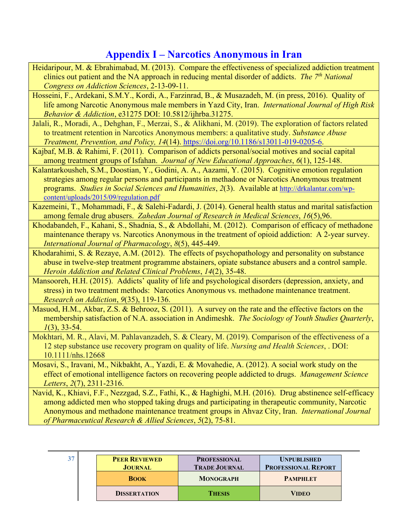# **Appendix I – [Narcotics Anonymous in Iran](#page-2-0)**

- Heidaripour, M. & Ebrahimabad, M. (2013). Compare the effectiveness of specialized addiction treatment clinics out patient and the NA approach in reducing mental disorder of addicts. *The 7<sup>th</sup> National Congress on Addiction Sciences*, 2-13-09-11.
- Hosseini, F., Ardekani, S.M.Y., Kordi, A., Farzinrad, B., & Musazadeh, M. (in press, 2016). Quality of life among Narcotic Anonymous male members in Yazd City, Iran. *International Journal of High Risk Behavior & Addiction*, e31275 DOI: 10.5812/ijhrba.31275.
- Jalali, R., Moradi, A., Dehghan, F., Merzai, S., & Alikhani, M. (2019). The exploration of factors related to treatment retention in Narcotics Anonymous members: a qualitative study. *Substance Abuse Treatment, Prevention, and Policy, 14*(14). [https://doi.org/10.1186/s13011-019-0205-6.](https://doi.org/10.1186/s13011-019-0205-6)
- Kajbaf, M.B. & Rahimi, F. (2011). Comparison of addicts personal/social motives and social capital among treatment groups of Isfahan. *Journal of New Educational Approaches*, *6*(1), 125-148.
- Kalantarkousheh, S.M., Doostian, Y., Godini, A. A., Aazami, Y. (2015). Cognitive emotion regulation strategies among regular persons and participants in methadone or Narcotics Anonymous treatment programs. *Studies in Social Sciences and Humanities*, *2*(3). Available at [http://drkalantar.com/wp](http://drkalantar.com/wp-content/uploads/2015/09/regulation.pdf)[content/uploads/2015/09/regulation.pdf](http://drkalantar.com/wp-content/uploads/2015/09/regulation.pdf)
- Kazemeini, T., Mohammadi, F., & Salehi-Fadardi, J. (2014). General health status and marital satisfaction among female drug abusers. *Zahedan Journal of Research in Medical Sciences*, *16*(5),96.
- Khodabandeh, F., Kahani, S., Shadnia, S., & Abdollahi, M. (2012). Comparison of efficacy of methadone maintenance therapy vs. Narcotics Anonymous in the treatment of opioid addiction: A 2-year survey. *International Journal of Pharmacology*, *8*(5), 445-449.
- Khodarahimi, S. & Rezaye, A.M. (2012). The effects of psychopathology and personality on substance abuse in twelve-step treatment programme abstainers, opiate substance abusers and a control sample. *Heroin Addiction and Related Clinical Problems*, *14*(2), 35-48.
- Mansooreh, H.H. (2015). Addicts' quality of life and psychological disorders (depression, anxiety, and stress) in two treatment methods: Narcotics Anonymous vs. methadone maintenance treatment. *Research on Addiction*, *9*(35), 119-136.
- Masuod, H.M., Akbar, Z.S. & Behrooz, S. (2011). A survey on the rate and the effective factors on the membership satisfaction of N.A. association in Andimeshk. *The Sociology of Youth Studies Quarterly*, *1*(3), 33-54.
- Mokhtari, M. R., Alavi, M. Pahlavanzadeh, S. & Cleary, M. (2019). Comparison of the effectiveness of a 12 step substance use recovery program on quality of life. *Nursing and Health Sciences*, . DOI: 10.1111/nhs.12668
- Mosavi, S., Iravani, M., Nikbakht, A., Yazdi, E. & Movahedie, A. (2012). A social work study on the effect of emotional intelligence factors on recovering people addicted to drugs. *Management Science Letters*, *2*(7), 2311-2316.
- Navid, K., Khiavi, F.F., Nezzgad, S.Z., Fathi, K., & Haghighi, M.H. (2016). Drug abstinence self-efficacy among addicted men who stopped taking drugs and participating in therapeutic community, Narcotic Anonymous and methadone maintenance treatment groups in Ahvaz City, Iran. *International Journal of Pharmaceutical Research & Allied Sciences*, *5*(2), 75-81.

| 37 | <b>PEER REVIEWED</b><br><b>JOURNAL</b> | <b>PROFESSIONAL</b><br><b>TRADE JOURNAL</b> | <b>UNPUBLISHED</b><br><b>PROFESSIONAL REPORT</b> |
|----|----------------------------------------|---------------------------------------------|--------------------------------------------------|
|    | <b>BOOK</b>                            | <b>MONOGRAPH</b>                            | <b>PAMPHLET</b>                                  |
|    | <b>DISSERTATION</b>                    | <b>THESIS</b>                               | <b>VIDEO</b>                                     |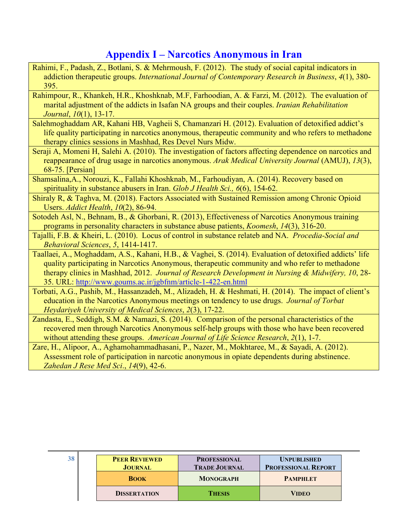# **Appendix I – [Narcotics Anonymous in Iran](#page-2-0)**

- Rahimi, F., Padash, Z., Botlani, S. & Mehrmoush, F. (2012). The study of social capital indicators in addiction therapeutic groups. *International Journal of Contemporary Research in Business*, *4*(1), 380- 395.
- Rahimpour, R., Khankeh, H.R., Khoshknab, M.F, Farhoodian, A. & Farzi, M. (2012). The evaluation of marital adjustment of the addicts in Isafan NA groups and their couples. *Iranian Rehabilitation Journal*, *10*(1), 13-17.
- Salehmoghaddam AR, Kahani HB, Vagheii S, Chamanzari H. (2012). Evaluation of detoxified addict's life quality participating in narcotics anonymous, therapeutic community and who refers to methadone therapy clinics sessions in Mashhad, Res Devel Nurs Midw.
- Seraji A, Momeni H, Salehi A. (2010). The investigation of factors affecting dependence on narcotics and reappearance of drug usage in narcotics anonymous. *Arak Medical University Journal* (AMUJ), *13*(3), 68-75. [Persian]
- Shamsalina,A., Norouzi, K., Fallahi Khoshknab, M., Farhoudiyan, A. (2014). Recovery based on spirituality in substance abusers in Iran. *Glob J Health Sci., 6*(6), 154-62.
- Shiraly R, & Taghva, M. (2018). Factors Associated with Sustained Remission among Chronic Opioid Users. *Addict Health*, *10*(2), 86-94.
- Sotodeh Asl, N., Behnam, B., & Ghorbani, R. (2013), Effectiveness of Narcotics Anonymous training programs in personality characters in substance abuse patients, *Koomesh*, *14*(3), 316-20.
- Tajalli, F.B. & Kheiri, L. (2010). Locus of control in substance relateb and NA. *Procedia-Social and Behavioral Sciences*, *5*, 1414-1417.
- Taallaei, A., Moghaddam, A.S., Kahani, H.B., & Vaghei, S. (2014). Evaluation of detoxified addicts' life quality participating in Narcotics Anonymous, therapeutic community and who refer to methadone therapy clinics in Mashhad, 2012. *Journal of Research Development in Nursing & Midwifery, 10*, 28- 35. URL:<http://www.goums.ac.ir/jgbfnm/article-1-422-en.html>
- Torbati, A.G., Pashib, M., Hassanzadeh, M., Alizadeh, H. & Heshmati, H. (2014). The impact of client's education in the Narcotics Anonymous meetings on tendency to use drugs. *Journal of Torbat Heydariyeh University of Medical Sciences*, *2*(3), 17-22.
- Zandasta, E., Seddigh, S.M. & Namazi, S. (2014). Comparison of the personal characteristics of the recovered men through Narcotics Anonymous self-help groups with those who have been recovered without attending these groups. *American Journal of Life Science Research*, *2*(1), 1-7.

Zare, H., Alipoor, A., Aghamohammadhasani, P., Nazer, M., Mokhtaree, M., & Sayadi, A. (2012). Assessment role of participation in narcotic anonymous in opiate dependents during abstinence. *Zahedan J Rese Med Sci*., *14*(9), 42-6.

| 38 | <b>PEER REVIEWED</b><br><b>JOURNAL</b> | <b>PROFESSIONAL</b><br><b>TRADE JOURNAL</b> | <b>UNPUBLISHED</b><br><b>PROFESSIONAL REPORT</b> |
|----|----------------------------------------|---------------------------------------------|--------------------------------------------------|
|    | <b>BOOK</b>                            | <b>MONOGRAPH</b>                            | <b>PAMPHLET</b>                                  |
|    | <b>DISSERTATION</b>                    | <b>THESIS</b>                               | <b>VIDEO</b>                                     |